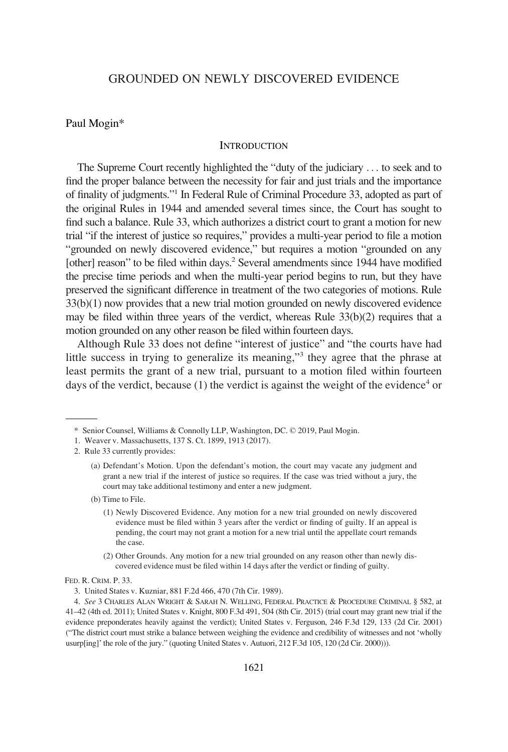# GROUNDED ON NEWLY DISCOVERED EVIDENCE

### Paul Mogin\*

### **INTRODUCTION**

The Supreme Court recently highlighted the "duty of the judiciary . . . to seek and to find the proper balance between the necessity for fair and just trials and the importance of finality of judgments."1 In Federal Rule of Criminal Procedure 33, adopted as part of the original Rules in 1944 and amended several times since, the Court has sought to find such a balance. Rule 33, which authorizes a district court to grant a motion for new trial "if the interest of justice so requires," provides a multi-year period to file a motion "grounded on newly discovered evidence," but requires a motion "grounded on any [other] reason" to be filed within days.<sup>2</sup> Several amendments since 1944 have modified the precise time periods and when the multi-year period begins to run, but they have preserved the significant difference in treatment of the two categories of motions. Rule 33(b)(1) now provides that a new trial motion grounded on newly discovered evidence may be filed within three years of the verdict, whereas Rule 33(b)(2) requires that a motion grounded on any other reason be filed within fourteen days.

Although Rule 33 does not define "interest of justice" and "the courts have had little success in trying to generalize its meaning,"<sup>3</sup> they agree that the phrase at least permits the grant of a new trial, pursuant to a motion filed within fourteen days of the verdict, because  $(1)$  the verdict is against the weight of the evidence<sup>4</sup> or

- (b) Time to File.
	- (1) Newly Discovered Evidence. Any motion for a new trial grounded on newly discovered evidence must be filed within 3 years after the verdict or finding of guilty. If an appeal is pending, the court may not grant a motion for a new trial until the appellate court remands the case.
	- (2) Other Grounds. Any motion for a new trial grounded on any reason other than newly discovered evidence must be filed within 14 days after the verdict or finding of guilty.

<sup>\*</sup> Senior Counsel, Williams & Connolly LLP, Washington, DC. © 2019, Paul Mogin.

<sup>1.</sup> Weaver v. Massachusetts, 137 S. Ct. 1899, 1913 (2017).

<sup>2.</sup> Rule 33 currently provides:

<sup>(</sup>a) Defendant's Motion. Upon the defendant's motion, the court may vacate any judgment and grant a new trial if the interest of justice so requires. If the case was tried without a jury, the court may take additional testimony and enter a new judgment.

FED. R. CRIM. P. 33.

<sup>3.</sup> United States v. Kuzniar, 881 F.2d 466, 470 (7th Cir. 1989).

<sup>4.</sup> *See* 3 CHARLES ALAN WRIGHT & SARAH N. WELLING, FEDERAL PRACTICE & PROCEDURE CRIMINAL § 582, at 41–42 (4th ed. 2011); United States v. Knight, 800 F.3d 491, 504 (8th Cir. 2015) (trial court may grant new trial if the evidence preponderates heavily against the verdict); United States v. Ferguson, 246 F.3d 129, 133 (2d Cir. 2001) ("The district court must strike a balance between weighing the evidence and credibility of witnesses and not 'wholly usurp[ing]' the role of the jury." (quoting United States v. Autuori, 212 F.3d 105, 120 (2d Cir. 2000))).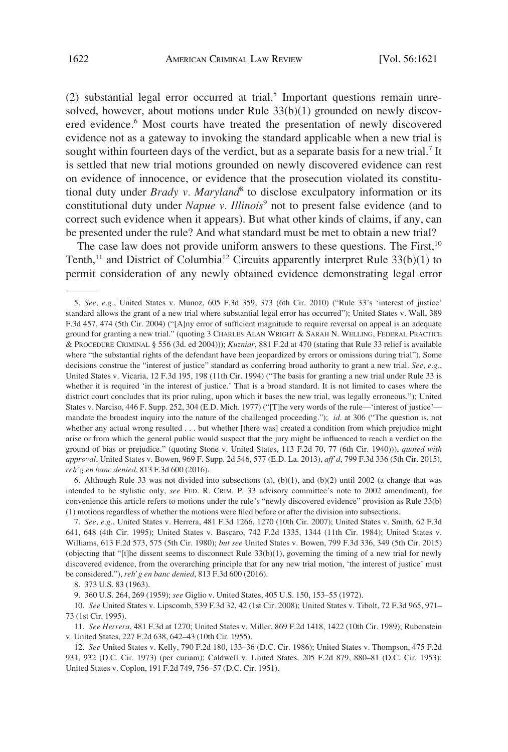$(2)$  substantial legal error occurred at trial.<sup>5</sup> Important questions remain unresolved, however, about motions under Rule 33(b)(1) grounded on newly discovered evidence.<sup>6</sup> Most courts have treated the presentation of newly discovered evidence not as a gateway to invoking the standard applicable when a new trial is sought within fourteen days of the verdict, but as a separate basis for a new trial.<sup>7</sup> It is settled that new trial motions grounded on newly discovered evidence can rest on evidence of innocence, or evidence that the prosecution violated its constitutional duty under *Brady v. Maryland*<sup>8</sup> to disclose exculpatory information or its constitutional duty under *Napue v. Illinois*<sup>9</sup> not to present false evidence (and to correct such evidence when it appears). But what other kinds of claims, if any, can be presented under the rule? And what standard must be met to obtain a new trial?

The case law does not provide uniform answers to these questions. The First,<sup>10</sup> Tenth,<sup>11</sup> and District of Columbia<sup>12</sup> Circuits apparently interpret Rule 33(b)(1) to permit consideration of any newly obtained evidence demonstrating legal error

6. Although Rule 33 was not divided into subsections (a), (b)(1), and (b)(2) until 2002 (a change that was intended to be stylistic only, *see* FED. R. CRIM. P. 33 advisory committee's note to 2002 amendment), for convenience this article refers to motions under the rule's "newly discovered evidence" provision as Rule 33(b) (1) motions regardless of whether the motions were filed before or after the division into subsections.

<sup>5.</sup> *See, e.g.*, United States v. Munoz, 605 F.3d 359, 373 (6th Cir. 2010) ("Rule 33's 'interest of justice' standard allows the grant of a new trial where substantial legal error has occurred"); United States v. Wall, 389 F.3d 457, 474 (5th Cir. 2004) ("[A]ny error of sufficient magnitude to require reversal on appeal is an adequate ground for granting a new trial." (quoting 3 CHARLES ALAN WRIGHT & SARAH N. WELLING, FEDERAL PRACTICE & PROCEDURE CRIMINAL § 556 (3d. ed 2004))); *Kuzniar*, 881 F.2d at 470 (stating that Rule 33 relief is available where "the substantial rights of the defendant have been jeopardized by errors or omissions during trial"). Some decisions construe the "interest of justice" standard as conferring broad authority to grant a new trial. *See, e.g.*, United States v. Vicaria, 12 F.3d 195, 198 (11th Cir. 1994) ("The basis for granting a new trial under Rule 33 is whether it is required 'in the interest of justice.' That is a broad standard. It is not limited to cases where the district court concludes that its prior ruling, upon which it bases the new trial, was legally erroneous."); United States v. Narciso, 446 F. Supp. 252, 304 (E.D. Mich. 1977) ("[T]he very words of the rule—'interest of justice' mandate the broadest inquiry into the nature of the challenged proceeding."); *id.* at 306 ("The question is, not whether any actual wrong resulted . . . but whether [there was] created a condition from which prejudice might arise or from which the general public would suspect that the jury might be influenced to reach a verdict on the ground of bias or prejudice." (quoting Stone v. United States, 113 F.2d 70, 77 (6th Cir. 1940))), *quoted with approval*, United States v. Bowen, 969 F. Supp. 2d 546, 577 (E.D. La. 2013), *aff'd*, 799 F.3d 336 (5th Cir. 2015), *reh'g en banc denied*, 813 F.3d 600 (2016).

<sup>7.</sup> *See, e.g*., United States v. Herrera, 481 F.3d 1266, 1270 (10th Cir. 2007); United States v. Smith, 62 F.3d 641, 648 (4th Cir. 1995); United States v. Bascaro, 742 F.2d 1335, 1344 (11th Cir. 1984); United States v. Williams, 613 F.2d 573, 575 (5th Cir. 1980); *but see* United States v. Bowen, 799 F.3d 336, 349 (5th Cir. 2015) (objecting that "[t]he dissent seems to disconnect Rule 33(b)(1), governing the timing of a new trial for newly discovered evidence, from the overarching principle that for any new trial motion, 'the interest of justice' must be considered."), *reh'g en banc denied*, 813 F.3d 600 (2016).

<sup>8. 373</sup> U.S. 83 (1963).

<sup>9. 360</sup> U.S. 264, 269 (1959); *see* Giglio v. United States, 405 U.S. 150, 153–55 (1972).

<sup>10.</sup> *See* United States v. Lipscomb, 539 F.3d 32, 42 (1st Cir. 2008); United States v. Tibolt, 72 F.3d 965, 971– 73 (1st Cir. 1995).

<sup>11.</sup> *See Herrera*, 481 F.3d at 1270; United States v. Miller, 869 F.2d 1418, 1422 (10th Cir. 1989); Rubenstein v. United States, 227 F.2d 638, 642–43 (10th Cir. 1955).

<sup>12.</sup> *See* United States v. Kelly, 790 F.2d 180, 133–36 (D.C. Cir. 1986); United States v. Thompson, 475 F.2d 931, 932 (D.C. Cir. 1973) (per curiam); Caldwell v. United States, 205 F.2d 879, 880–81 (D.C. Cir. 1953); United States v. Coplon, 191 F.2d 749, 756–57 (D.C. Cir. 1951).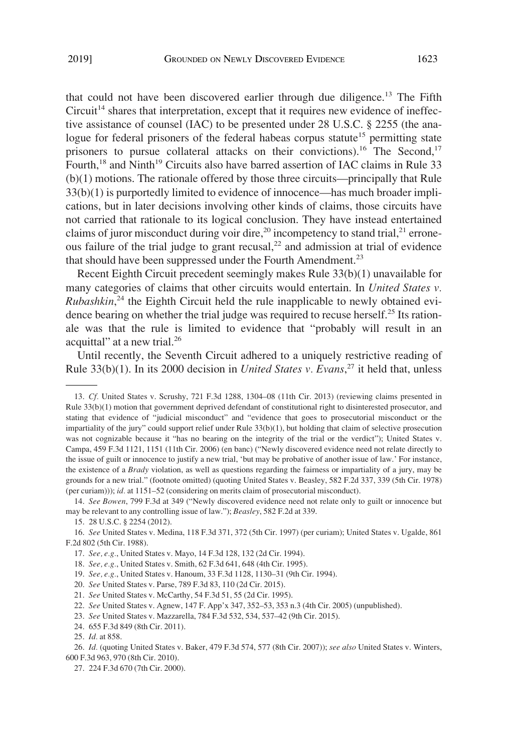that could not have been discovered earlier through due diligence.<sup>13</sup> The Fifth  $Circuit<sup>14</sup> shares that interpretation, except that it requires new evidence of in effective.$ tive assistance of counsel (IAC) to be presented under 28 U.S.C. § 2255 (the analogue for federal prisoners of the federal habeas corpus statute<sup>15</sup> permitting state prisoners to pursue collateral attacks on their convictions).<sup>16</sup> The Second,<sup>17</sup> Fourth,<sup>18</sup> and Ninth<sup>19</sup> Circuits also have barred assertion of IAC claims in Rule 33 (b)(1) motions. The rationale offered by those three circuits—principally that Rule 33(b)(1) is purportedly limited to evidence of innocence—has much broader implications, but in later decisions involving other kinds of claims, those circuits have not carried that rationale to its logical conclusion. They have instead entertained claims of juror misconduct during voir dire,<sup>20</sup> incompetency to stand trial,<sup>21</sup> erroneous failure of the trial judge to grant recusal, $^{22}$  and admission at trial of evidence that should have been suppressed under the Fourth Amendment.<sup>23</sup>

Recent Eighth Circuit precedent seemingly makes Rule 33(b)(1) unavailable for many categories of claims that other circuits would entertain. In *United States v. Rubashkin*, 24 the Eighth Circuit held the rule inapplicable to newly obtained evidence bearing on whether the trial judge was required to recuse herself.<sup>25</sup> Its rationale was that the rule is limited to evidence that "probably will result in an acquittal" at a new trial.<sup>26</sup>

Until recently, the Seventh Circuit adhered to a uniquely restrictive reading of Rule 33(b)(1). In its 2000 decision in *United States v. Evans*, 27 it held that, unless

14. *See Bowen*, 799 F.3d at 349 ("Newly discovered evidence need not relate only to guilt or innocence but may be relevant to any controlling issue of law."); *Beasley*, 582 F.2d at 339.

18. *See, e.g.*, United States v. Smith, 62 F.3d 641, 648 (4th Cir. 1995).

19. *See, e.g.*, United States v. Hanoum, 33 F.3d 1128, 1130–31 (9th Cir. 1994).

- 20. *See* United States v. Parse, 789 F.3d 83, 110 (2d Cir. 2015).
- 21. *See* United States v. McCarthy, 54 F.3d 51, 55 (2d Cir. 1995).
- 22. *See* United States v. Agnew, 147 F. App'x 347, 352–53, 353 n.3 (4th Cir. 2005) (unpublished).
- 23. *See* United States v. Mazzarella, 784 F.3d 532, 534, 537–42 (9th Cir. 2015).
- 24. 655 F.3d 849 (8th Cir. 2011).

<sup>13.</sup> *Cf.* United States v. Scrushy, 721 F.3d 1288, 1304–08 (11th Cir. 2013) (reviewing claims presented in Rule 33(b)(1) motion that government deprived defendant of constitutional right to disinterested prosecutor, and stating that evidence of "judicial misconduct" and "evidence that goes to prosecutorial misconduct or the impartiality of the jury" could support relief under Rule 33(b)(1), but holding that claim of selective prosecution was not cognizable because it "has no bearing on the integrity of the trial or the verdict"); United States v. Campa, 459 F.3d 1121, 1151 (11th Cir. 2006) (en banc) ("Newly discovered evidence need not relate directly to the issue of guilt or innocence to justify a new trial, 'but may be probative of another issue of law.' For instance, the existence of a *Brady* violation, as well as questions regarding the fairness or impartiality of a jury, may be grounds for a new trial." (footnote omitted) (quoting United States v. Beasley, 582 F.2d 337, 339 (5th Cir. 1978) (per curiam))); *id.* at 1151–52 (considering on merits claim of prosecutorial misconduct).

<sup>15. 28</sup> U.S.C. § 2254 (2012).

<sup>16.</sup> *See* United States v. Medina, 118 F.3d 371, 372 (5th Cir. 1997) (per curiam); United States v. Ugalde, 861 F.2d 802 (5th Cir. 1988).

<sup>17.</sup> *See, e.g.*, United States v. Mayo, 14 F.3d 128, 132 (2d Cir. 1994).

<sup>25.</sup> *Id.* at 858.

<sup>26.</sup> *Id.* (quoting United States v. Baker, 479 F.3d 574, 577 (8th Cir. 2007)); *see also* United States v. Winters, 600 F.3d 963, 970 (8th Cir. 2010).

<sup>27. 224</sup> F.3d 670 (7th Cir. 2000).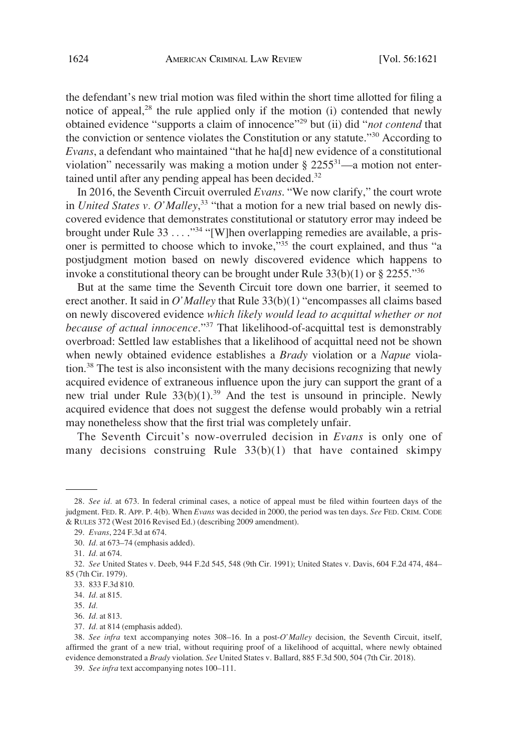the defendant's new trial motion was filed within the short time allotted for filing a notice of appeal, $28$  the rule applied only if the motion (i) contended that newly obtained evidence "supports a claim of innocence"29 but (ii) did "*not contend* that the conviction or sentence violates the Constitution or any statute."30 According to *Evans*, a defendant who maintained "that he ha[d] new evidence of a constitutional violation" necessarily was making a motion under  $\S 2255^{31}$ —a motion not entertained until after any pending appeal has been decided.<sup>32</sup>

In 2016, the Seventh Circuit overruled *Evans*. "We now clarify," the court wrote in *United States v. O'Malley*, 33 "that a motion for a new trial based on newly discovered evidence that demonstrates constitutional or statutory error may indeed be brought under Rule 33 . . . . "<sup>34</sup> "[W]hen overlapping remedies are available, a prisoner is permitted to choose which to invoke,"<sup>35</sup> the court explained, and thus "a postjudgment motion based on newly discovered evidence which happens to invoke a constitutional theory can be brought under Rule  $33(b)(1)$  or § 2255."<sup>36</sup>

But at the same time the Seventh Circuit tore down one barrier, it seemed to erect another. It said in *O'Malley* that Rule 33(b)(1) "encompasses all claims based on newly discovered evidence *which likely would lead to acquittal whether or not because of actual innocence*."37 That likelihood-of-acquittal test is demonstrably overbroad: Settled law establishes that a likelihood of acquittal need not be shown when newly obtained evidence establishes a *Brady* violation or a *Napue* violation.<sup>38</sup> The test is also inconsistent with the many decisions recognizing that newly acquired evidence of extraneous influence upon the jury can support the grant of a new trial under Rule  $33(b)(1)$ .<sup>39</sup> And the test is unsound in principle. Newly acquired evidence that does not suggest the defense would probably win a retrial may nonetheless show that the first trial was completely unfair.

The Seventh Circuit's now-overruled decision in *Evans* is only one of many decisions construing Rule 33(b)(1) that have contained skimpy

<sup>28.</sup> *See id.* at 673. In federal criminal cases, a notice of appeal must be filed within fourteen days of the judgment. FED. R. APP. P. 4(b). When *Evans* was decided in 2000, the period was ten days. *See* FED. CRIM. CODE & RULES 372 (West 2016 Revised Ed.) (describing 2009 amendment).

<sup>29.</sup> *Evans*, 224 F.3d at 674.

<sup>30.</sup> *Id.* at 673–74 (emphasis added).

<sup>31.</sup> *Id.* at 674.

<sup>32.</sup> *See* United States v. Deeb, 944 F.2d 545, 548 (9th Cir. 1991); United States v. Davis, 604 F.2d 474, 484– 85 (7th Cir. 1979).

<sup>33. 833</sup> F.3d 810.

<sup>34.</sup> *Id.* at 815.

<sup>35.</sup> *Id.* 

<sup>36.</sup> *Id.* at 813.

<sup>37.</sup> *Id.* at 814 (emphasis added).

<sup>38.</sup> *See infra* text accompanying notes 308–16. In a post-*O'Malley* decision, the Seventh Circuit, itself, affirmed the grant of a new trial, without requiring proof of a likelihood of acquittal, where newly obtained evidence demonstrated a *Brady* violation. *See* United States v. Ballard, 885 F.3d 500, 504 (7th Cir. 2018).

<sup>39.</sup> *See infra* text accompanying notes 100–111.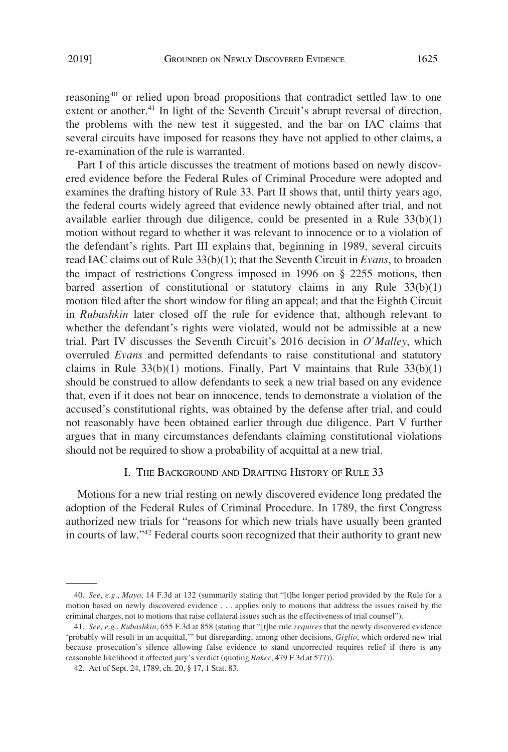reasoning40 or relied upon broad propositions that contradict settled law to one extent or another.<sup>41</sup> In light of the Seventh Circuit's abrupt reversal of direction, the problems with the new test it suggested, and the bar on IAC claims that several circuits have imposed for reasons they have not applied to other claims, a re-examination of the rule is warranted.

Part I of this article discusses the treatment of motions based on newly discovered evidence before the Federal Rules of Criminal Procedure were adopted and examines the drafting history of Rule 33. Part II shows that, until thirty years ago, the federal courts widely agreed that evidence newly obtained after trial, and not available earlier through due diligence, could be presented in a Rule  $33(b)(1)$ motion without regard to whether it was relevant to innocence or to a violation of the defendant's rights. Part III explains that, beginning in 1989, several circuits read IAC claims out of Rule 33(b)(1); that the Seventh Circuit in *Evans*, to broaden the impact of restrictions Congress imposed in 1996 on § 2255 motions, then barred assertion of constitutional or statutory claims in any Rule 33(b)(1) motion filed after the short window for filing an appeal; and that the Eighth Circuit in *Rubashkin* later closed off the rule for evidence that, although relevant to whether the defendant's rights were violated, would not be admissible at a new trial. Part IV discusses the Seventh Circuit's 2016 decision in *O'Malley*, which overruled *Evans* and permitted defendants to raise constitutional and statutory claims in Rule  $33(b)(1)$  motions. Finally, Part V maintains that Rule  $33(b)(1)$ should be construed to allow defendants to seek a new trial based on any evidence that, even if it does not bear on innocence, tends to demonstrate a violation of the accused's constitutional rights, was obtained by the defense after trial, and could not reasonably have been obtained earlier through due diligence. Part V further argues that in many circumstances defendants claiming constitutional violations should not be required to show a probability of acquittal at a new trial.

### I. THE BACKGROUND AND DRAFTING HISTORY OF RULE 33

Motions for a new trial resting on newly discovered evidence long predated the adoption of the Federal Rules of Criminal Procedure. In 1789, the first Congress authorized new trials for "reasons for which new trials have usually been granted in courts of law."42 Federal courts soon recognized that their authority to grant new

<sup>40.</sup> *See, e.g.*, *Mayo*, 14 F.3d at 132 (summarily stating that "[t]he longer period provided by the Rule for a motion based on newly discovered evidence . . . applies only to motions that address the issues raised by the criminal charges, not to motions that raise collateral issues such as the effectiveness of trial counsel").

<sup>41.</sup> *See, e.g.*, *Rubashkin*, 655 F.3d at 858 (stating that "[t]he rule *requires* that the newly discovered evidence 'probably will result in an acquittal,'" but disregarding, among other decisions, *Giglio*, which ordered new trial because prosecution's silence allowing false evidence to stand uncorrected requires relief if there is any reasonable likelihood it affected jury's verdict (quoting *Baker*, 479 F.3d at 577)).

<sup>42.</sup> Act of Sept. 24, 1789, ch. 20, § 17, 1 Stat. 83.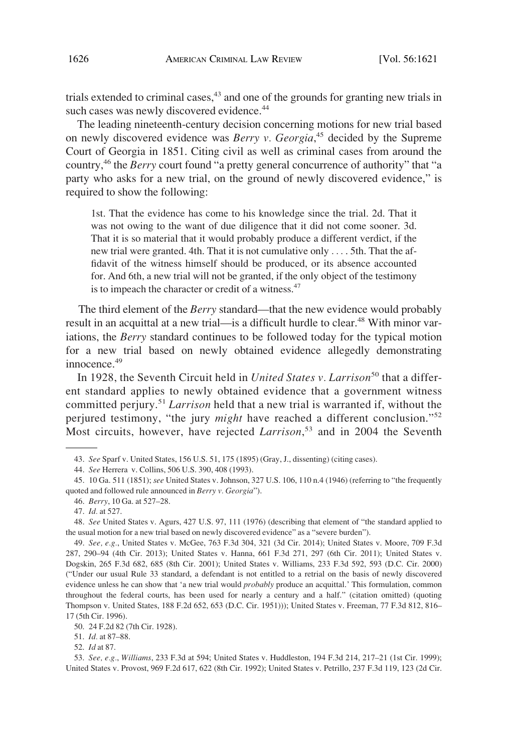trials extended to criminal cases, $43$  and one of the grounds for granting new trials in such cases was newly discovered evidence.<sup>44</sup>

The leading nineteenth-century decision concerning motions for new trial based on newly discovered evidence was *Berry v. Georgia*, 45 decided by the Supreme Court of Georgia in 1851. Citing civil as well as criminal cases from around the country,46 the *Berry* court found "a pretty general concurrence of authority" that "a party who asks for a new trial, on the ground of newly discovered evidence," is required to show the following:

1st. That the evidence has come to his knowledge since the trial. 2d. That it was not owing to the want of due diligence that it did not come sooner. 3d. That it is so material that it would probably produce a different verdict, if the new trial were granted. 4th. That it is not cumulative only . . . . 5th. That the affidavit of the witness himself should be produced, or its absence accounted for. And 6th, a new trial will not be granted, if the only object of the testimony is to impeach the character or credit of a witness.<sup>47</sup>

The third element of the *Berry* standard—that the new evidence would probably result in an acquittal at a new trial—is a difficult hurdle to clear.<sup>48</sup> With minor variations, the *Berry* standard continues to be followed today for the typical motion for a new trial based on newly obtained evidence allegedly demonstrating  $innocence<sup>49</sup>$ 

In 1928, the Seventh Circuit held in *United States v. Larrison*<sup>50</sup> that a different standard applies to newly obtained evidence that a government witness committed perjury.<sup>51</sup>*Larrison* held that a new trial is warranted if, without the perjured testimony, "the jury *might* have reached a different conclusion."<sup>52</sup> Most circuits, however, have rejected *Larrison*, 53 and in 2004 the Seventh

53. *See, e.g.*, *Williams*, 233 F.3d at 594; United States v. Huddleston, 194 F.3d 214, 217–21 (1st Cir. 1999); United States v. Provost, 969 F.2d 617, 622 (8th Cir. 1992); United States v. Petrillo, 237 F.3d 119, 123 (2d Cir.

<sup>43.</sup> *See* Sparf v. United States, 156 U.S. 51, 175 (1895) (Gray, J., dissenting) (citing cases).

<sup>44.</sup> *See* Herrera v. Collins, 506 U.S. 390, 408 (1993).

<sup>45. 10</sup> Ga. 511 (1851); *see* United States v. Johnson, 327 U.S. 106, 110 n.4 (1946) (referring to "the frequently quoted and followed rule announced in *Berry v. Georgia*").

<sup>46.</sup> *Berry*, 10 Ga. at 527–28.

<sup>47.</sup> *Id.* at 527.

<sup>48.</sup> *See* United States v. Agurs, 427 U.S. 97, 111 (1976) (describing that element of "the standard applied to the usual motion for a new trial based on newly discovered evidence" as a "severe burden").

<sup>49.</sup> *See, e.g.*, United States v. McGee, 763 F.3d 304, 321 (3d Cir. 2014); United States v. Moore, 709 F.3d 287, 290–94 (4th Cir. 2013); United States v. Hanna, 661 F.3d 271, 297 (6th Cir. 2011); United States v. Dogskin, 265 F.3d 682, 685 (8th Cir. 2001); United States v. Williams, 233 F.3d 592, 593 (D.C. Cir. 2000) ("Under our usual Rule 33 standard, a defendant is not entitled to a retrial on the basis of newly discovered evidence unless he can show that 'a new trial would *probably* produce an acquittal.' This formulation, common throughout the federal courts, has been used for nearly a century and a half." (citation omitted) (quoting Thompson v. United States, 188 F.2d 652, 653 (D.C. Cir. 1951))); United States v. Freeman, 77 F.3d 812, 816– 17 (5th Cir. 1996).

<sup>50. 24</sup> F.2d 82 (7th Cir. 1928).

<sup>51.</sup> *Id.* at 87–88.

<sup>52.</sup> *Id* at 87.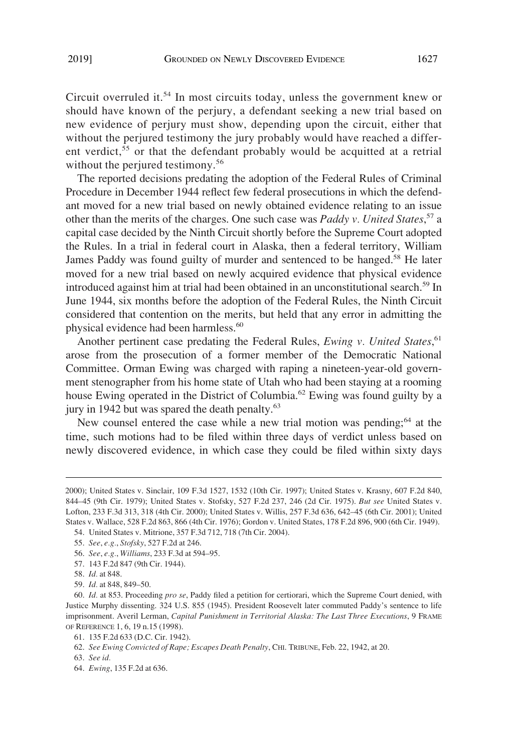Circuit overruled it.<sup>54</sup> In most circuits today, unless the government knew or should have known of the perjury, a defendant seeking a new trial based on new evidence of perjury must show, depending upon the circuit, either that without the perjured testimony the jury probably would have reached a different verdict,<sup>55</sup> or that the defendant probably would be acquitted at a retrial without the perjured testimony.<sup>56</sup>

The reported decisions predating the adoption of the Federal Rules of Criminal Procedure in December 1944 reflect few federal prosecutions in which the defendant moved for a new trial based on newly obtained evidence relating to an issue other than the merits of the charges. One such case was *Paddy v. United States*, 57 a capital case decided by the Ninth Circuit shortly before the Supreme Court adopted the Rules. In a trial in federal court in Alaska, then a federal territory, William James Paddy was found guilty of murder and sentenced to be hanged.<sup>58</sup> He later moved for a new trial based on newly acquired evidence that physical evidence introduced against him at trial had been obtained in an unconstitutional search.<sup>59</sup> In June 1944, six months before the adoption of the Federal Rules, the Ninth Circuit considered that contention on the merits, but held that any error in admitting the physical evidence had been harmless.<sup>60</sup>

Another pertinent case predating the Federal Rules, *Ewing v. United States*, 61 arose from the prosecution of a former member of the Democratic National Committee. Orman Ewing was charged with raping a nineteen-year-old government stenographer from his home state of Utah who had been staying at a rooming house Ewing operated in the District of Columbia.<sup>62</sup> Ewing was found guilty by a jury in 1942 but was spared the death penalty.<sup>63</sup>

New counsel entered the case while a new trial motion was pending;<sup>64</sup> at the time, such motions had to be filed within three days of verdict unless based on newly discovered evidence, in which case they could be filed within sixty days

54. United States v. Mitrione, 357 F.3d 712, 718 (7th Cir. 2004).

57. 143 F.2d 847 (9th Cir. 1944).

<sup>2000);</sup> United States v. Sinclair, 109 F.3d 1527, 1532 (10th Cir. 1997); United States v. Krasny, 607 F.2d 840, 844–45 (9th Cir. 1979); United States v. Stofsky, 527 F.2d 237, 246 (2d Cir. 1975). *But see* United States v. Lofton, 233 F.3d 313, 318 (4th Cir. 2000); United States v. Willis, 257 F.3d 636, 642–45 (6th Cir. 2001); United States v. Wallace, 528 F.2d 863, 866 (4th Cir. 1976); Gordon v. United States, 178 F.2d 896, 900 (6th Cir. 1949).

<sup>55.</sup> *See*, *e.g.*, *Stofsky*, 527 F.2d at 246.

<sup>56.</sup> *See*, *e.g.*, *Williams*, 233 F.3d at 594–95.

<sup>58.</sup> *Id.* at 848.

<sup>59.</sup> *Id.* at 848, 849–50.

<sup>60.</sup> *Id.* at 853. Proceeding *pro se*, Paddy filed a petition for certiorari, which the Supreme Court denied, with Justice Murphy dissenting. 324 U.S. 855 (1945). President Roosevelt later commuted Paddy's sentence to life imprisonment. Averil Lerman, *Capital Punishment in Territorial Alaska: The Last Three Executions*, 9 FRAME OF REFERENCE 1, 6, 19 n.15 (1998).

<sup>61. 135</sup> F.2d 633 (D.C. Cir. 1942).

<sup>62.</sup> *See Ewing Convicted of Rape; Escapes Death Penalty*, CHI. TRIBUNE, Feb. 22, 1942, at 20.

<sup>63.</sup> *See id.* 

<sup>64.</sup> *Ewing*, 135 F.2d at 636.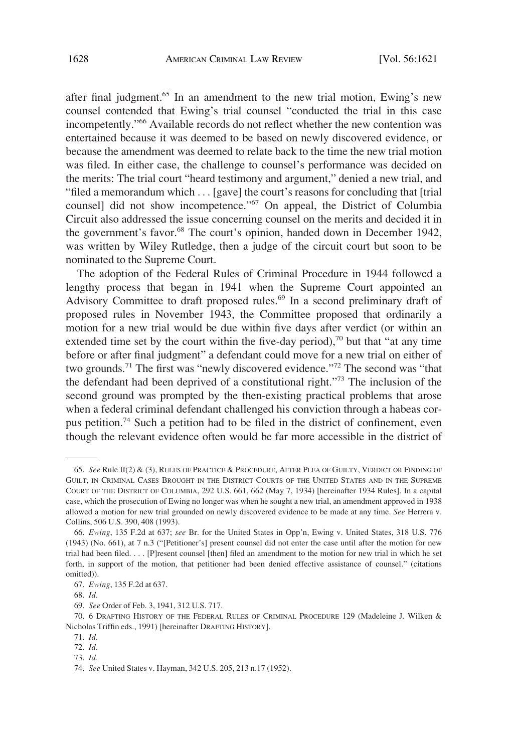after final judgment.<sup>65</sup> In an amendment to the new trial motion, Ewing's new counsel contended that Ewing's trial counsel "conducted the trial in this case incompetently."66 Available records do not reflect whether the new contention was entertained because it was deemed to be based on newly discovered evidence, or because the amendment was deemed to relate back to the time the new trial motion was filed. In either case, the challenge to counsel's performance was decided on the merits: The trial court "heard testimony and argument," denied a new trial, and "filed a memorandum which . . . [gave] the court's reasons for concluding that [trial counsel] did not show incompetence."<sup>67</sup> On appeal, the District of Columbia Circuit also addressed the issue concerning counsel on the merits and decided it in the government's favor.<sup>68</sup> The court's opinion, handed down in December 1942, was written by Wiley Rutledge, then a judge of the circuit court but soon to be nominated to the Supreme Court.

The adoption of the Federal Rules of Criminal Procedure in 1944 followed a lengthy process that began in 1941 when the Supreme Court appointed an Advisory Committee to draft proposed rules.<sup>69</sup> In a second preliminary draft of proposed rules in November 1943, the Committee proposed that ordinarily a motion for a new trial would be due within five days after verdict (or within an extended time set by the court within the five-day period), $70$  but that "at any time before or after final judgment" a defendant could move for a new trial on either of two grounds.<sup>71</sup> The first was "newly discovered evidence."<sup>72</sup> The second was "that the defendant had been deprived of a constitutional right."73 The inclusion of the second ground was prompted by the then-existing practical problems that arose when a federal criminal defendant challenged his conviction through a habeas corpus petition.74 Such a petition had to be filed in the district of confinement, even though the relevant evidence often would be far more accessible in the district of

<sup>65.</sup> *See* Rule II(2) & (3), RULES OF PRACTICE & PROCEDURE, AFTER PLEA OF GUILTY, VERDICT OR FINDING OF GUILT, IN CRIMINAL CASES BROUGHT IN THE DISTRICT COURTS OF THE UNITED STATES AND IN THE SUPREME COURT OF THE DISTRICT OF COLUMBIA, 292 U.S. 661, 662 (May 7, 1934) [hereinafter 1934 Rules]. In a capital case, which the prosecution of Ewing no longer was when he sought a new trial, an amendment approved in 1938 allowed a motion for new trial grounded on newly discovered evidence to be made at any time. *See* Herrera v. Collins, 506 U.S. 390, 408 (1993).

<sup>66.</sup> *Ewing*, 135 F.2d at 637; *see* Br. for the United States in Opp'n, Ewing v. United States, 318 U.S. 776 (1943) (No. 661), at 7 n.3 ("[Petitioner's] present counsel did not enter the case until after the motion for new trial had been filed. . . . [P]resent counsel [then] filed an amendment to the motion for new trial in which he set forth, in support of the motion, that petitioner had been denied effective assistance of counsel." (citations omitted)).

<sup>67.</sup> *Ewing*, 135 F.2d at 637.

<sup>68.</sup> *Id.* 

<sup>69.</sup> *See* Order of Feb. 3, 1941, 312 U.S. 717.

<sup>70. 6</sup> DRAFTING HISTORY OF THE FEDERAL RULES OF CRIMINAL PROCEDURE 129 (Madeleine J. Wilken & Nicholas Triffin eds., 1991) [hereinafter DRAFTING HISTORY].

<sup>71.</sup> *Id.* 

<sup>72.</sup> *Id.* 

<sup>73.</sup> *Id.* 

<sup>74.</sup> *See* United States v. Hayman, 342 U.S. 205, 213 n.17 (1952).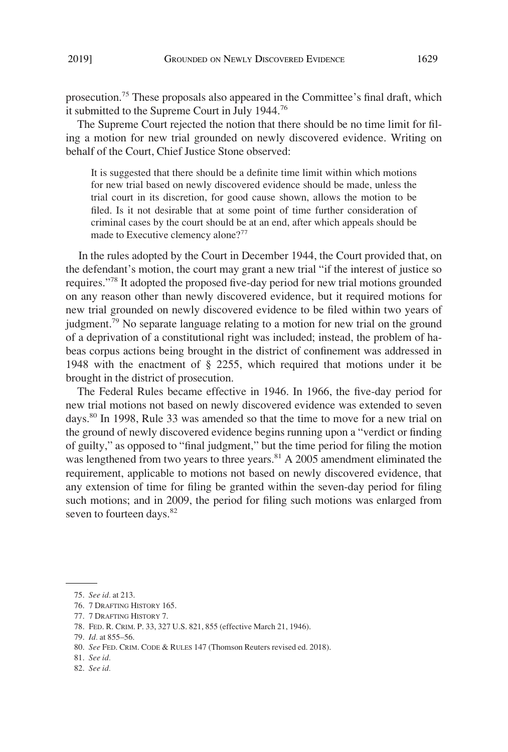prosecution.75 These proposals also appeared in the Committee's final draft, which it submitted to the Supreme Court in July 1944.76

The Supreme Court rejected the notion that there should be no time limit for filing a motion for new trial grounded on newly discovered evidence. Writing on behalf of the Court, Chief Justice Stone observed:

It is suggested that there should be a definite time limit within which motions for new trial based on newly discovered evidence should be made, unless the trial court in its discretion, for good cause shown, allows the motion to be filed. Is it not desirable that at some point of time further consideration of criminal cases by the court should be at an end, after which appeals should be made to Executive clemency alone?<sup>77</sup>

In the rules adopted by the Court in December 1944, the Court provided that, on the defendant's motion, the court may grant a new trial "if the interest of justice so requires."78 It adopted the proposed five-day period for new trial motions grounded on any reason other than newly discovered evidence, but it required motions for new trial grounded on newly discovered evidence to be filed within two years of judgment.<sup>79</sup> No separate language relating to a motion for new trial on the ground of a deprivation of a constitutional right was included; instead, the problem of habeas corpus actions being brought in the district of confinement was addressed in 1948 with the enactment of § 2255, which required that motions under it be brought in the district of prosecution.

The Federal Rules became effective in 1946. In 1966, the five-day period for new trial motions not based on newly discovered evidence was extended to seven days.<sup>80</sup> In 1998, Rule 33 was amended so that the time to move for a new trial on the ground of newly discovered evidence begins running upon a "verdict or finding of guilty," as opposed to "final judgment," but the time period for filing the motion was lengthened from two years to three years.<sup>81</sup> A 2005 amendment eliminated the requirement, applicable to motions not based on newly discovered evidence, that any extension of time for filing be granted within the seven-day period for filing such motions; and in 2009, the period for filing such motions was enlarged from seven to fourteen days.<sup>82</sup>

<sup>75.</sup> *See id.* at 213.

<sup>76. 7</sup> DRAFTING HISTORY 165.

<sup>77. 7</sup> DRAFTING HISTORY 7.

<sup>78.</sup> FED. R. CRIM. P. 33, 327 U.S. 821, 855 (effective March 21, 1946).

<sup>79.</sup> *Id.* at 855–56.

<sup>80.</sup> *See* FED. CRIM. CODE & RULES 147 (Thomson Reuters revised ed. 2018).

<sup>81.</sup> *See id.* 

<sup>82.</sup> *See id.*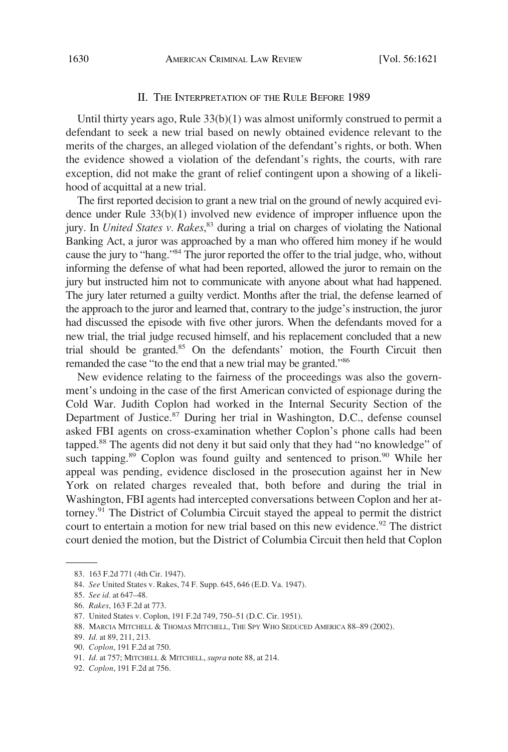#### II. THE INTERPRETATION OF THE RULE BEFORE 1989

Until thirty years ago, Rule 33(b)(1) was almost uniformly construed to permit a defendant to seek a new trial based on newly obtained evidence relevant to the merits of the charges, an alleged violation of the defendant's rights, or both. When the evidence showed a violation of the defendant's rights, the courts, with rare exception, did not make the grant of relief contingent upon a showing of a likelihood of acquittal at a new trial.

The first reported decision to grant a new trial on the ground of newly acquired evidence under Rule 33(b)(1) involved new evidence of improper influence upon the jury. In *United States v. Rakes*, 83 during a trial on charges of violating the National Banking Act, a juror was approached by a man who offered him money if he would cause the jury to "hang."84 The juror reported the offer to the trial judge, who, without informing the defense of what had been reported, allowed the juror to remain on the jury but instructed him not to communicate with anyone about what had happened. The jury later returned a guilty verdict. Months after the trial, the defense learned of the approach to the juror and learned that, contrary to the judge's instruction, the juror had discussed the episode with five other jurors. When the defendants moved for a new trial, the trial judge recused himself, and his replacement concluded that a new trial should be granted.<sup>85</sup> On the defendants' motion, the Fourth Circuit then remanded the case "to the end that a new trial may be granted."86

New evidence relating to the fairness of the proceedings was also the government's undoing in the case of the first American convicted of espionage during the Cold War. Judith Coplon had worked in the Internal Security Section of the Department of Justice. $87$  During her trial in Washington, D.C., defense counsel asked FBI agents on cross-examination whether Coplon's phone calls had been tapped.88 The agents did not deny it but said only that they had "no knowledge" of such tapping. $89$  Coplon was found guilty and sentenced to prison. $90$  While her appeal was pending, evidence disclosed in the prosecution against her in New York on related charges revealed that, both before and during the trial in Washington, FBI agents had intercepted conversations between Coplon and her attorney.<sup>91</sup> The District of Columbia Circuit stayed the appeal to permit the district court to entertain a motion for new trial based on this new evidence.<sup>92</sup> The district court denied the motion, but the District of Columbia Circuit then held that Coplon

<sup>83. 163</sup> F.2d 771 (4th Cir. 1947).

<sup>84.</sup> *See* United States v. Rakes, 74 F. Supp. 645, 646 (E.D. Va. 1947).

<sup>85.</sup> *See id.* at 647–48.

<sup>86.</sup> *Rakes*, 163 F.2d at 773.

<sup>87.</sup> United States v. Coplon, 191 F.2d 749, 750–51 (D.C. Cir. 1951).

<sup>88.</sup> MARCIA MITCHELL & THOMAS MITCHELL, THE SPY WHO SEDUCED AMERICA 88–89 (2002).

<sup>89.</sup> *Id.* at 89, 211, 213.

<sup>90.</sup> *Coplon*, 191 F.2d at 750.

<sup>91.</sup> *Id.* at 757; MITCHELL & MITCHELL, *supra* note 88, at 214.

<sup>92.</sup> *Coplon*, 191 F.2d at 756.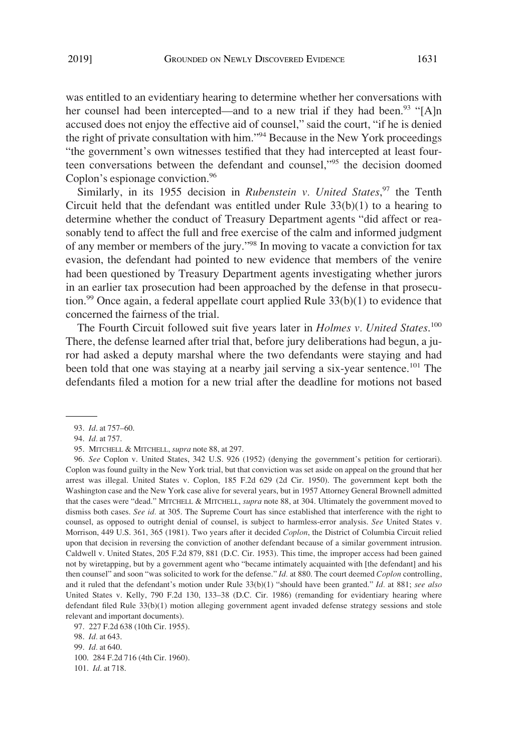was entitled to an evidentiary hearing to determine whether her conversations with her counsel had been intercepted—and to a new trial if they had been.<sup>93</sup> "[A]n accused does not enjoy the effective aid of counsel," said the court, "if he is denied the right of private consultation with him."94 Because in the New York proceedings "the government's own witnesses testified that they had intercepted at least fourteen conversations between the defendant and counsel,<sup>195</sup> the decision doomed Coplon's espionage conviction.<sup>96</sup>

Similarly, in its 1955 decision in *Rubenstein v. United States*,<sup>97</sup> the Tenth Circuit held that the defendant was entitled under Rule  $33(b)(1)$  to a hearing to determine whether the conduct of Treasury Department agents "did affect or reasonably tend to affect the full and free exercise of the calm and informed judgment of any member or members of the jury."98 In moving to vacate a conviction for tax evasion, the defendant had pointed to new evidence that members of the venire had been questioned by Treasury Department agents investigating whether jurors in an earlier tax prosecution had been approached by the defense in that prosecution.<sup>99</sup> Once again, a federal appellate court applied Rule  $33(b)(1)$  to evidence that concerned the fairness of the trial.

The Fourth Circuit followed suit five years later in *Holmes v. United States*.<sup>100</sup> There, the defense learned after trial that, before jury deliberations had begun, a juror had asked a deputy marshal where the two defendants were staying and had been told that one was staying at a nearby jail serving a six-year sentence.<sup>101</sup> The defendants filed a motion for a new trial after the deadline for motions not based

<sup>93.</sup> *Id*. at 757–60.

<sup>94.</sup> *Id.* at 757.

<sup>95.</sup> MITCHELL & MITCHELL, *supra* note 88, at 297.

<sup>96.</sup> *See* Coplon v. United States, 342 U.S. 926 (1952) (denying the government's petition for certiorari). Coplon was found guilty in the New York trial, but that conviction was set aside on appeal on the ground that her arrest was illegal. United States v. Coplon, 185 F.2d 629 (2d Cir. 1950). The government kept both the Washington case and the New York case alive for several years, but in 1957 Attorney General Brownell admitted that the cases were "dead." MITCHELL & MITCHELL, *supra* note 88, at 304. Ultimately the government moved to dismiss both cases. *See id.* at 305. The Supreme Court has since established that interference with the right to counsel, as opposed to outright denial of counsel, is subject to harmless-error analysis. *See* United States v. Morrison, 449 U.S. 361, 365 (1981). Two years after it decided *Coplon*, the District of Columbia Circuit relied upon that decision in reversing the conviction of another defendant because of a similar government intrusion. Caldwell v. United States, 205 F.2d 879, 881 (D.C. Cir. 1953). This time, the improper access had been gained not by wiretapping, but by a government agent who "became intimately acquainted with [the defendant] and his then counsel" and soon "was solicited to work for the defense." *Id.* at 880. The court deemed *Coplon* controlling, and it ruled that the defendant's motion under Rule 33(b)(1) "should have been granted." *Id.* at 881; *see also*  United States v. Kelly, 790 F.2d 130, 133–38 (D.C. Cir. 1986) (remanding for evidentiary hearing where defendant filed Rule 33(b)(1) motion alleging government agent invaded defense strategy sessions and stole relevant and important documents).

<sup>97. 227</sup> F.2d 638 (10th Cir. 1955).

<sup>98.</sup> *Id.* at 643.

<sup>99.</sup> *Id.* at 640.

<sup>100. 284</sup> F.2d 716 (4th Cir. 1960).

<sup>101.</sup> *Id*. at 718.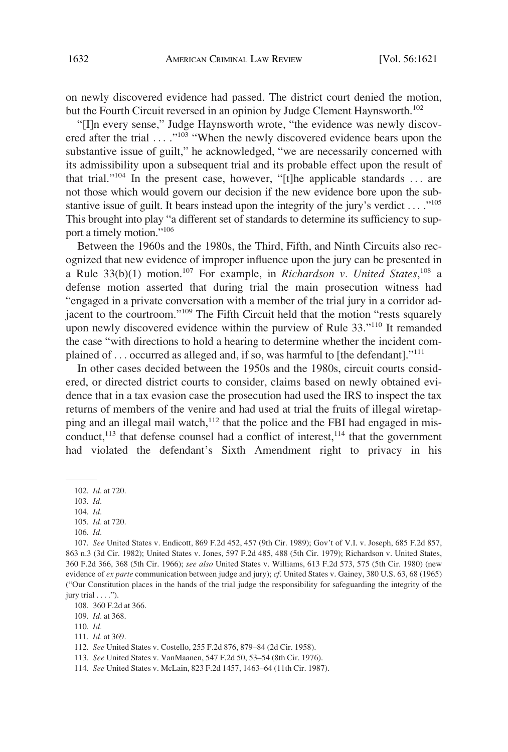on newly discovered evidence had passed. The district court denied the motion, but the Fourth Circuit reversed in an opinion by Judge Clement Haynsworth.<sup>102</sup>

"[I]n every sense," Judge Haynsworth wrote, "the evidence was newly discovered after the trial ...."<sup>103</sup> "When the newly discovered evidence bears upon the substantive issue of guilt," he acknowledged, "we are necessarily concerned with its admissibility upon a subsequent trial and its probable effect upon the result of that trial."104 In the present case, however, "[t]he applicable standards . . . are not those which would govern our decision if the new evidence bore upon the substantive issue of guilt. It bears instead upon the integrity of the jury's verdict  $\dots$ ."<sup>105</sup> This brought into play "a different set of standards to determine its sufficiency to support a timely motion."106

Between the 1960s and the 1980s, the Third, Fifth, and Ninth Circuits also recognized that new evidence of improper influence upon the jury can be presented in a Rule  $33(b)(1)$  motion.<sup>107</sup> For example, in *Richardson v. United States*,<sup>108</sup> a defense motion asserted that during trial the main prosecution witness had "engaged in a private conversation with a member of the trial jury in a corridor adjacent to the courtroom."109 The Fifth Circuit held that the motion "rests squarely upon newly discovered evidence within the purview of Rule 33."<sup>110</sup> It remanded the case "with directions to hold a hearing to determine whether the incident complained of . . . occurred as alleged and, if so, was harmful to [the defendant]."<sup>111</sup>

In other cases decided between the 1950s and the 1980s, circuit courts considered, or directed district courts to consider, claims based on newly obtained evidence that in a tax evasion case the prosecution had used the IRS to inspect the tax returns of members of the venire and had used at trial the fruits of illegal wiretapping and an illegal mail watch, $112$  that the police and the FBI had engaged in misconduct, $113$  that defense counsel had a conflict of interest, $114$  that the government had violated the defendant's Sixth Amendment right to privacy in his

106. *Id*.

<sup>102.</sup> *Id*. at 720.

<sup>103.</sup> *Id*.

<sup>104.</sup> *Id*.

<sup>105.</sup> *Id.* at 720.

<sup>107.</sup> *See* United States v. Endicott, 869 F.2d 452, 457 (9th Cir. 1989); Gov't of V.I. v. Joseph, 685 F.2d 857, 863 n.3 (3d Cir. 1982); United States v. Jones, 597 F.2d 485, 488 (5th Cir. 1979); Richardson v. United States, 360 F.2d 366, 368 (5th Cir. 1966); *see also* United States v. Williams, 613 F.2d 573, 575 (5th Cir. 1980) (new evidence of *ex parte* communication between judge and jury); *cf.* United States v. Gainey, 380 U.S. 63, 68 (1965) ("Our Constitution places in the hands of the trial judge the responsibility for safeguarding the integrity of the jury trial  $\dots$ .").

<sup>108. 360</sup> F.2d at 366.

<sup>109.</sup> *Id.* at 368.

<sup>110.</sup> *Id.* 

<sup>111.</sup> *Id.* at 369.

<sup>112.</sup> *See* United States v. Costello, 255 F.2d 876, 879–84 (2d Cir. 1958).

<sup>113.</sup> *See* United States v. VanMaanen, 547 F.2d 50, 53–54 (8th Cir. 1976).

<sup>114.</sup> *See* United States v. McLain, 823 F.2d 1457, 1463–64 (11th Cir. 1987).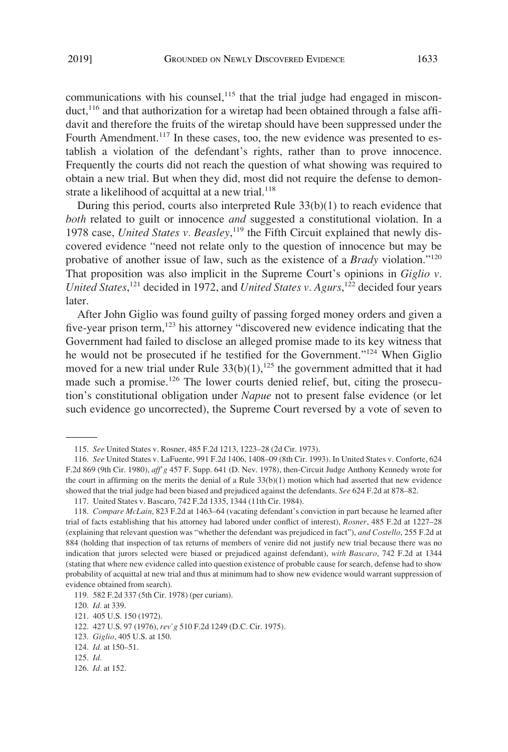communications with his counsel,<sup>115</sup> that the trial judge had engaged in misconduct,<sup>116</sup> and that authorization for a wiretap had been obtained through a false affidavit and therefore the fruits of the wiretap should have been suppressed under the Fourth Amendment.<sup>117</sup> In these cases, too, the new evidence was presented to establish a violation of the defendant's rights, rather than to prove innocence. Frequently the courts did not reach the question of what showing was required to obtain a new trial. But when they did, most did not require the defense to demonstrate a likelihood of acquittal at a new trial. $118$ 

During this period, courts also interpreted Rule  $33(b)(1)$  to reach evidence that *both* related to guilt or innocence *and* suggested a constitutional violation. In a 1978 case, *United States v. Beasley*,<sup>119</sup> the Fifth Circuit explained that newly discovered evidence "need not relate only to the question of innocence but may be probative of another issue of law, such as the existence of a *Brady* violation."120 That proposition was also implicit in the Supreme Court's opinions in *Giglio v.*  United States,<sup>121</sup> decided in 1972, and *United States v. Agurs*,<sup>122</sup> decided four years later.

After John Giglio was found guilty of passing forged money orders and given a five-year prison term, $123$  his attorney "discovered new evidence indicating that the Government had failed to disclose an alleged promise made to its key witness that he would not be prosecuted if he testified for the Government."124 When Giglio moved for a new trial under Rule  $33(b)(1)$ ,<sup>125</sup> the government admitted that it had made such a promise.<sup>126</sup> The lower courts denied relief, but, citing the prosecution's constitutional obligation under *Napue* not to present false evidence (or let such evidence go uncorrected), the Supreme Court reversed by a vote of seven to

<sup>115.</sup> *See* United States v. Rosner, 485 F.2d 1213, 1223–28 (2d Cir. 1973).

<sup>116.</sup> *See* United States v. LaFuente, 991 F.2d 1406, 1408–09 (8th Cir. 1993). In United States v. Conforte, 624 F.2d 869 (9th Cir. 1980), *aff'g* 457 F. Supp. 641 (D. Nev. 1978), then-Circuit Judge Anthony Kennedy wrote for the court in affirming on the merits the denial of a Rule  $33(b)(1)$  motion which had asserted that new evidence showed that the trial judge had been biased and prejudiced against the defendants. *See* 624 F.2d at 878–82.

<sup>117.</sup> United States v. Bascaro, 742 F.2d 1335, 1344 (11th Cir. 1984).

<sup>118.</sup> *Compare McLain*, 823 F.2d at 1463–64 (vacating defendant's conviction in part because he learned after trial of facts establishing that his attorney had labored under conflict of interest), *Rosner*, 485 F.2d at 1227–28 (explaining that relevant question was "whether the defendant was prejudiced in fact"), *and Costello*, 255 F.2d at 884 (holding that inspection of tax returns of members of venire did not justify new trial because there was no indication that jurors selected were biased or prejudiced against defendant), *with Bascaro*, 742 F.2d at 1344 (stating that where new evidence called into question existence of probable cause for search, defense had to show probability of acquittal at new trial and thus at minimum had to show new evidence would warrant suppression of evidence obtained from search).

<sup>119. 582</sup> F.2d 337 (5th Cir. 1978) (per curiam).

<sup>120.</sup> *Id.* at 339.

<sup>121. 405</sup> U.S. 150 (1972).

<sup>122. 427</sup> U.S. 97 (1976), *rev'g* 510 F.2d 1249 (D.C. Cir. 1975).

<sup>123.</sup> *Giglio*, 405 U.S. at 150.

<sup>124.</sup> *Id.* at 150–51.

<sup>125.</sup> *Id.* 

<sup>126.</sup> *Id.* at 152.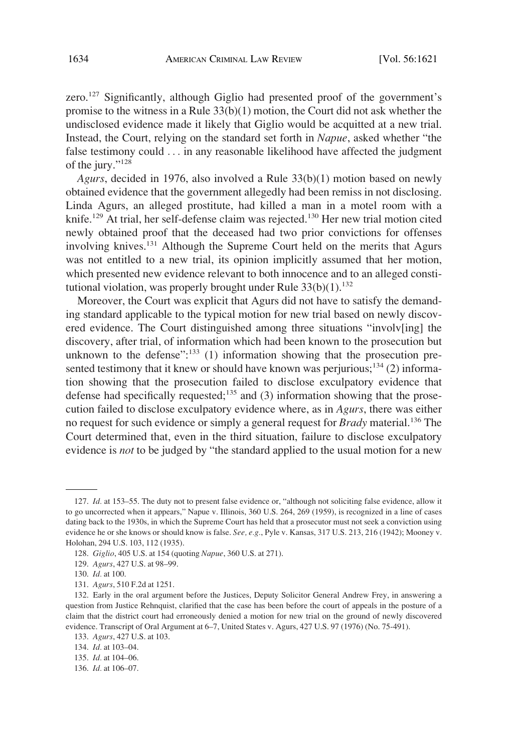zero.<sup>127</sup> Significantly, although Giglio had presented proof of the government's promise to the witness in a Rule 33(b)(1) motion, the Court did not ask whether the undisclosed evidence made it likely that Giglio would be acquitted at a new trial. Instead, the Court, relying on the standard set forth in *Napue*, asked whether "the false testimony could . . . in any reasonable likelihood have affected the judgment of the jury."<sup>128</sup>

*Agurs*, decided in 1976, also involved a Rule 33(b)(1) motion based on newly obtained evidence that the government allegedly had been remiss in not disclosing. Linda Agurs, an alleged prostitute, had killed a man in a motel room with a knife.129 At trial, her self-defense claim was rejected.130 Her new trial motion cited newly obtained proof that the deceased had two prior convictions for offenses involving knives.<sup>131</sup> Although the Supreme Court held on the merits that Agurs was not entitled to a new trial, its opinion implicitly assumed that her motion, which presented new evidence relevant to both innocence and to an alleged constitutional violation, was properly brought under Rule  $33(b)(1)$ .<sup>132</sup>

Moreover, the Court was explicit that Agurs did not have to satisfy the demanding standard applicable to the typical motion for new trial based on newly discovered evidence. The Court distinguished among three situations "involv[ing] the discovery, after trial, of information which had been known to the prosecution but unknown to the defense": $\frac{133}{1}$  (1) information showing that the prosecution presented testimony that it knew or should have known was perjurious;<sup>134</sup> (2) information showing that the prosecution failed to disclose exculpatory evidence that defense had specifically requested;<sup>135</sup> and (3) information showing that the prosecution failed to disclose exculpatory evidence where, as in *Agurs*, there was either no request for such evidence or simply a general request for *Brady* material.136 The Court determined that, even in the third situation, failure to disclose exculpatory evidence is *not* to be judged by "the standard applied to the usual motion for a new

<sup>127.</sup> *Id.* at 153–55. The duty not to present false evidence or, "although not soliciting false evidence, allow it to go uncorrected when it appears," Napue v. Illinois, 360 U.S. 264, 269 (1959), is recognized in a line of cases dating back to the 1930s, in which the Supreme Court has held that a prosecutor must not seek a conviction using evidence he or she knows or should know is false. *See, e.g.*, Pyle v. Kansas, 317 U.S. 213, 216 (1942); Mooney v. Holohan, 294 U.S. 103, 112 (1935).

<sup>128.</sup> *Giglio*, 405 U.S. at 154 (quoting *Napue*, 360 U.S. at 271).

<sup>129.</sup> *Agurs*, 427 U.S. at 98–99.

<sup>130.</sup> *Id.* at 100.

<sup>131.</sup> *Agurs*, 510 F.2d at 1251.

<sup>132.</sup> Early in the oral argument before the Justices, Deputy Solicitor General Andrew Frey, in answering a question from Justice Rehnquist, clarified that the case has been before the court of appeals in the posture of a claim that the district court had erroneously denied a motion for new trial on the ground of newly discovered evidence. Transcript of Oral Argument at 6–7, United States v. Agurs, 427 U.S. 97 (1976) (No. 75-491).

<sup>133.</sup> *Agurs*, 427 U.S. at 103.

<sup>134.</sup> *Id.* at 103–04.

<sup>135.</sup> *Id.* at 104–06.

<sup>136.</sup> *Id.* at 106–07.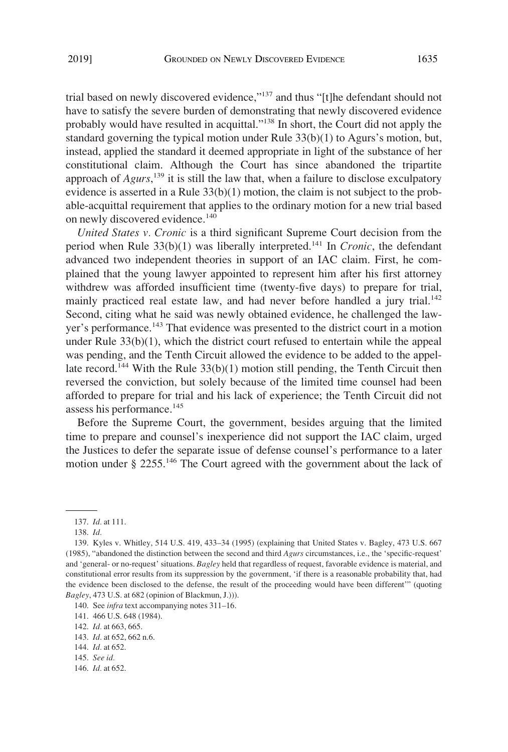trial based on newly discovered evidence,"<sup>137</sup> and thus "[t]he defendant should not have to satisfy the severe burden of demonstrating that newly discovered evidence probably would have resulted in acquittal."138 In short, the Court did not apply the standard governing the typical motion under Rule 33(b)(1) to Agurs's motion, but, instead, applied the standard it deemed appropriate in light of the substance of her constitutional claim. Although the Court has since abandoned the tripartite approach of *Agurs*, 139 it is still the law that, when a failure to disclose exculpatory evidence is asserted in a Rule 33(b)(1) motion, the claim is not subject to the probable-acquittal requirement that applies to the ordinary motion for a new trial based on newly discovered evidence.<sup>140</sup>

*United States v. Cronic* is a third significant Supreme Court decision from the period when Rule  $33(b)(1)$  was liberally interpreted.<sup>141</sup> In *Cronic*, the defendant advanced two independent theories in support of an IAC claim. First, he complained that the young lawyer appointed to represent him after his first attorney withdrew was afforded insufficient time (twenty-five days) to prepare for trial, mainly practiced real estate law, and had never before handled a jury trial.<sup>142</sup> Second, citing what he said was newly obtained evidence, he challenged the lawyer's performance.<sup>143</sup> That evidence was presented to the district court in a motion under Rule 33(b)(1), which the district court refused to entertain while the appeal was pending, and the Tenth Circuit allowed the evidence to be added to the appellate record.<sup>144</sup> With the Rule  $33(b)(1)$  motion still pending, the Tenth Circuit then reversed the conviction, but solely because of the limited time counsel had been afforded to prepare for trial and his lack of experience; the Tenth Circuit did not assess his performance.<sup>145</sup>

Before the Supreme Court, the government, besides arguing that the limited time to prepare and counsel's inexperience did not support the IAC claim, urged the Justices to defer the separate issue of defense counsel's performance to a later motion under § 2255.146 The Court agreed with the government about the lack of

146. *Id.* at 652.

<sup>137.</sup> *Id.* at 111.

<sup>138.</sup> *Id.* 

<sup>139.</sup> Kyles v. Whitley, 514 U.S. 419, 433–34 (1995) (explaining that United States v. Bagley, 473 U.S. 667 (1985), "abandoned the distinction between the second and third *Agurs* circumstances, i.e., the 'specific-request' and 'general- or no-request' situations. *Bagley* held that regardless of request, favorable evidence is material, and constitutional error results from its suppression by the government, 'if there is a reasonable probability that, had the evidence been disclosed to the defense, the result of the proceeding would have been different'" (quoting *Bagley*, 473 U.S. at 682 (opinion of Blackmun, J.))).

<sup>140.</sup> See *infra* text accompanying notes 311–16.

<sup>141. 466</sup> U.S. 648 (1984).

<sup>142.</sup> *Id.* at 663, 665.

<sup>143.</sup> *Id.* at 652, 662 n.6.

<sup>144.</sup> *Id.* at 652.

<sup>145.</sup> *See id.*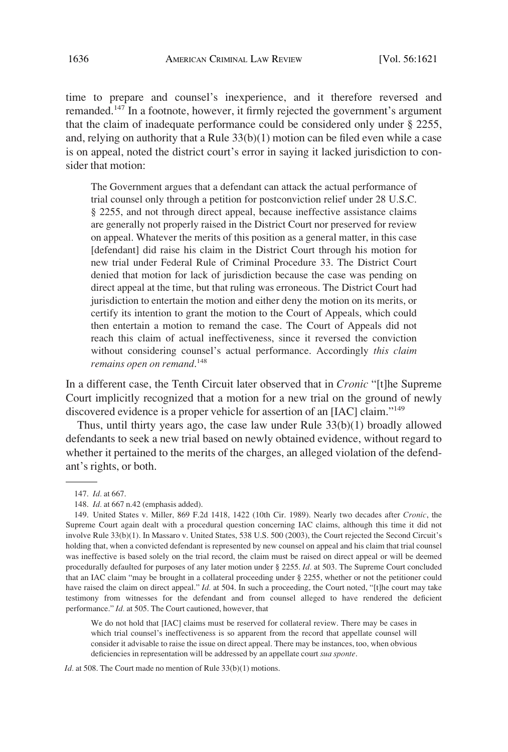time to prepare and counsel's inexperience, and it therefore reversed and remanded.147 In a footnote, however, it firmly rejected the government's argument that the claim of inadequate performance could be considered only under § 2255, and, relying on authority that a Rule  $33(b)(1)$  motion can be filed even while a case is on appeal, noted the district court's error in saying it lacked jurisdiction to consider that motion:

The Government argues that a defendant can attack the actual performance of trial counsel only through a petition for postconviction relief under 28 U.S.C. § 2255, and not through direct appeal, because ineffective assistance claims are generally not properly raised in the District Court nor preserved for review on appeal. Whatever the merits of this position as a general matter, in this case [defendant] did raise his claim in the District Court through his motion for new trial under Federal Rule of Criminal Procedure 33. The District Court denied that motion for lack of jurisdiction because the case was pending on direct appeal at the time, but that ruling was erroneous. The District Court had jurisdiction to entertain the motion and either deny the motion on its merits, or certify its intention to grant the motion to the Court of Appeals, which could then entertain a motion to remand the case. The Court of Appeals did not reach this claim of actual ineffectiveness, since it reversed the conviction without considering counsel's actual performance. Accordingly *this claim remains open on remand*. 148

In a different case, the Tenth Circuit later observed that in *Cronic* "[t]he Supreme Court implicitly recognized that a motion for a new trial on the ground of newly discovered evidence is a proper vehicle for assertion of an [IAC] claim."149

Thus, until thirty years ago, the case law under Rule  $33(b)(1)$  broadly allowed defendants to seek a new trial based on newly obtained evidence, without regard to whether it pertained to the merits of the charges, an alleged violation of the defendant's rights, or both.

We do not hold that [IAC] claims must be reserved for collateral review. There may be cases in which trial counsel's ineffectiveness is so apparent from the record that appellate counsel will consider it advisable to raise the issue on direct appeal. There may be instances, too, when obvious deficiencies in representation will be addressed by an appellate court *sua sponte*.

*Id.* at 508. The Court made no mention of Rule 33(b)(1) motions.

<sup>147.</sup> *Id.* at 667.

<sup>148.</sup> *Id.* at 667 n.42 (emphasis added).

<sup>149.</sup> United States v. Miller, 869 F.2d 1418, 1422 (10th Cir. 1989). Nearly two decades after *Cronic*, the Supreme Court again dealt with a procedural question concerning IAC claims, although this time it did not involve Rule 33(b)(1). In Massaro v. United States, 538 U.S. 500 (2003), the Court rejected the Second Circuit's holding that, when a convicted defendant is represented by new counsel on appeal and his claim that trial counsel was ineffective is based solely on the trial record, the claim must be raised on direct appeal or will be deemed procedurally defaulted for purposes of any later motion under § 2255. *Id.* at 503. The Supreme Court concluded that an IAC claim "may be brought in a collateral proceeding under § 2255, whether or not the petitioner could have raised the claim on direct appeal." *Id.* at 504. In such a proceeding, the Court noted, "[t]he court may take testimony from witnesses for the defendant and from counsel alleged to have rendered the deficient performance." *Id.* at 505. The Court cautioned, however, that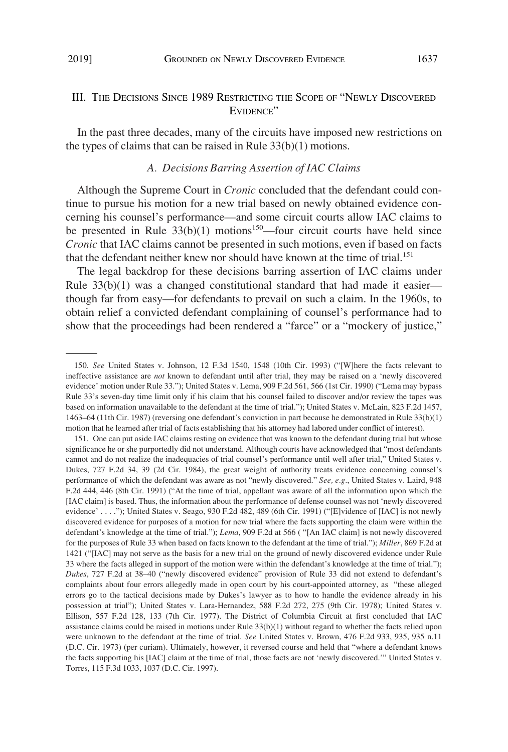## III. THE DECISIONS SINCE 1989 RESTRICTING THE SCOPE OF "NEWLY DISCOVERED EVIDENCE"

In the past three decades, many of the circuits have imposed new restrictions on the types of claims that can be raised in Rule 33(b)(1) motions.

## *A. Decisions Barring Assertion of IAC Claims*

Although the Supreme Court in *Cronic* concluded that the defendant could continue to pursue his motion for a new trial based on newly obtained evidence concerning his counsel's performance—and some circuit courts allow IAC claims to be presented in Rule  $33(b)(1)$  motions<sup>150</sup>—four circuit courts have held since *Cronic* that IAC claims cannot be presented in such motions, even if based on facts that the defendant neither knew nor should have known at the time of trial.<sup>151</sup>

The legal backdrop for these decisions barring assertion of IAC claims under Rule  $33(b)(1)$  was a changed constitutional standard that had made it easier though far from easy—for defendants to prevail on such a claim. In the 1960s, to obtain relief a convicted defendant complaining of counsel's performance had to show that the proceedings had been rendered a "farce" or a "mockery of justice,"

<sup>150.</sup> *See* United States v. Johnson, 12 F.3d 1540, 1548 (10th Cir. 1993) ("[W]here the facts relevant to ineffective assistance are *not* known to defendant until after trial, they may be raised on a 'newly discovered evidence' motion under Rule 33."); United States v. Lema, 909 F.2d 561, 566 (1st Cir. 1990) ("Lema may bypass Rule 33's seven-day time limit only if his claim that his counsel failed to discover and/or review the tapes was based on information unavailable to the defendant at the time of trial."); United States v. McLain, 823 F.2d 1457, 1463–64 (11th Cir. 1987) (reversing one defendant's conviction in part because he demonstrated in Rule 33(b)(1) motion that he learned after trial of facts establishing that his attorney had labored under conflict of interest).

<sup>151.</sup> One can put aside IAC claims resting on evidence that was known to the defendant during trial but whose significance he or she purportedly did not understand. Although courts have acknowledged that "most defendants cannot and do not realize the inadequacies of trial counsel's performance until well after trial," United States v. Dukes, 727 F.2d 34, 39 (2d Cir. 1984), the great weight of authority treats evidence concerning counsel's performance of which the defendant was aware as not "newly discovered." *See, e.g.*, United States v. Laird, 948 F.2d 444, 446 (8th Cir. 1991) ("At the time of trial, appellant was aware of all the information upon which the [IAC claim] is based. Thus, the information about the performance of defense counsel was not 'newly discovered evidence' . . . ."); United States v. Seago, 930 F.2d 482, 489 (6th Cir. 1991) ("[E]vidence of [IAC] is not newly discovered evidence for purposes of a motion for new trial where the facts supporting the claim were within the defendant's knowledge at the time of trial."); *Lema*, 909 F.2d at 566 ( "[An IAC claim] is not newly discovered for the purposes of Rule 33 when based on facts known to the defendant at the time of trial."); *Miller*, 869 F.2d at 1421 ("[IAC] may not serve as the basis for a new trial on the ground of newly discovered evidence under Rule 33 where the facts alleged in support of the motion were within the defendant's knowledge at the time of trial."); *Dukes*, 727 F.2d at 38–40 ("newly discovered evidence" provision of Rule 33 did not extend to defendant's complaints about four errors allegedly made in open court by his court-appointed attorney, as "these alleged errors go to the tactical decisions made by Dukes's lawyer as to how to handle the evidence already in his possession at trial"); United States v. Lara-Hernandez, 588 F.2d 272, 275 (9th Cir. 1978); United States v. Ellison, 557 F.2d 128, 133 (7th Cir. 1977). The District of Columbia Circuit at first concluded that IAC assistance claims could be raised in motions under Rule 33(b)(1) without regard to whether the facts relied upon were unknown to the defendant at the time of trial. *See* United States v. Brown, 476 F.2d 933, 935, 935 n.11 (D.C. Cir. 1973) (per curiam). Ultimately, however, it reversed course and held that "where a defendant knows the facts supporting his [IAC] claim at the time of trial, those facts are not 'newly discovered.'" United States v. Torres, 115 F.3d 1033, 1037 (D.C. Cir. 1997).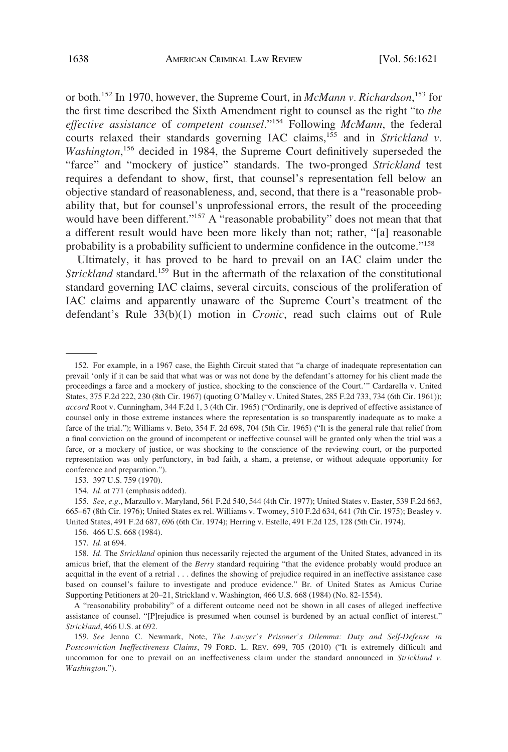or both.152 In 1970, however, the Supreme Court, in *McMann v. Richardson*, 153 for the first time described the Sixth Amendment right to counsel as the right "to *the effective assistance* of *competent counsel*."154 Following *McMann*, the federal courts relaxed their standards governing IAC claims,<sup>155</sup> and in *Strickland v*. Washington,<sup>156</sup> decided in 1984, the Supreme Court definitively superseded the "farce" and "mockery of justice" standards. The two-pronged *Strickland* test requires a defendant to show, first, that counsel's representation fell below an objective standard of reasonableness, and, second, that there is a "reasonable probability that, but for counsel's unprofessional errors, the result of the proceeding would have been different."<sup>157</sup> A "reasonable probability" does not mean that that a different result would have been more likely than not; rather, "[a] reasonable probability is a probability sufficient to undermine confidence in the outcome."158

Ultimately, it has proved to be hard to prevail on an IAC claim under the *Strickland* standard.<sup>159</sup> But in the aftermath of the relaxation of the constitutional standard governing IAC claims, several circuits, conscious of the proliferation of IAC claims and apparently unaware of the Supreme Court's treatment of the defendant's Rule 33(b)(1) motion in *Cronic*, read such claims out of Rule

154. *Id.* at 771 (emphasis added).

155. *See, e.g.*, Marzullo v. Maryland, 561 F.2d 540, 544 (4th Cir. 1977); United States v. Easter, 539 F.2d 663, 665–67 (8th Cir. 1976); United States ex rel. Williams v. Twomey, 510 F.2d 634, 641 (7th Cir. 1975); Beasley v. United States, 491 F.2d 687, 696 (6th Cir. 1974); Herring v. Estelle, 491 F.2d 125, 128 (5th Cir. 1974).

156. 466 U.S. 668 (1984).

157. *Id.* at 694.

A "reasonability probability" of a different outcome need not be shown in all cases of alleged ineffective assistance of counsel. "[P]rejudice is presumed when counsel is burdened by an actual conflict of interest." *Strickland*, 466 U.S. at 692.

159. *See* Jenna C. Newmark, Note, *The Lawyer's Prisoner's Dilemma: Duty and Self-Defense in Postconviction Ineffectiveness Claims*, 79 FORD. L. REV. 699, 705 (2010) ("It is extremely difficult and uncommon for one to prevail on an ineffectiveness claim under the standard announced in *Strickland v. Washington*.").

<sup>152.</sup> For example, in a 1967 case, the Eighth Circuit stated that "a charge of inadequate representation can prevail 'only if it can be said that what was or was not done by the defendant's attorney for his client made the proceedings a farce and a mockery of justice, shocking to the conscience of the Court.'" Cardarella v. United States, 375 F.2d 222, 230 (8th Cir. 1967) (quoting O'Malley v. United States, 285 F.2d 733, 734 (6th Cir. 1961)); *accord* Root v. Cunningham, 344 F.2d 1, 3 (4th Cir. 1965) ("Ordinarily, one is deprived of effective assistance of counsel only in those extreme instances where the representation is so transparently inadequate as to make a farce of the trial."); Williams v. Beto, 354 F. 2d 698, 704 (5th Cir. 1965) ("It is the general rule that relief from a final conviction on the ground of incompetent or ineffective counsel will be granted only when the trial was a farce, or a mockery of justice, or was shocking to the conscience of the reviewing court, or the purported representation was only perfunctory, in bad faith, a sham, a pretense, or without adequate opportunity for conference and preparation.").

<sup>153. 397</sup> U.S. 759 (1970).

<sup>158.</sup> *Id.* The *Strickland* opinion thus necessarily rejected the argument of the United States, advanced in its amicus brief, that the element of the *Berry* standard requiring "that the evidence probably would produce an acquittal in the event of a retrial . . . defines the showing of prejudice required in an ineffective assistance case based on counsel's failure to investigate and produce evidence." Br. of United States as Amicus Curiae Supporting Petitioners at 20–21, Strickland v. Washington, 466 U.S. 668 (1984) (No. 82-1554).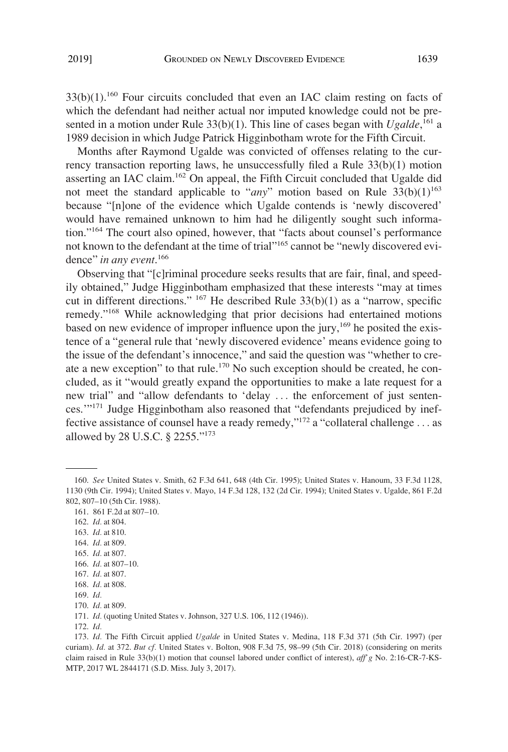$33(b)(1)$ .<sup>160</sup> Four circuits concluded that even an IAC claim resting on facts of which the defendant had neither actual nor imputed knowledge could not be presented in a motion under Rule 33(b)(1). This line of cases began with *Ugalde*,<sup>161</sup> a 1989 decision in which Judge Patrick Higginbotham wrote for the Fifth Circuit.

Months after Raymond Ugalde was convicted of offenses relating to the currency transaction reporting laws, he unsuccessfully filed a Rule 33(b)(1) motion asserting an IAC claim.162 On appeal, the Fifth Circuit concluded that Ugalde did not meet the standard applicable to "*any*" motion based on Rule  $33(b)(1)^{163}$ because "[n]one of the evidence which Ugalde contends is 'newly discovered' would have remained unknown to him had he diligently sought such information."164 The court also opined, however, that "facts about counsel's performance not known to the defendant at the time of trial"165 cannot be "newly discovered evidence" *in any event*. 166

Observing that "[c]riminal procedure seeks results that are fair, final, and speedily obtained," Judge Higginbotham emphasized that these interests "may at times cut in different directions." 167 He described Rule 33(b)(1) as a "narrow, specific remedy."168 While acknowledging that prior decisions had entertained motions based on new evidence of improper influence upon the jury,  $169$  he posited the existence of a "general rule that 'newly discovered evidence' means evidence going to the issue of the defendant's innocence," and said the question was "whether to create a new exception" to that rule.<sup>170</sup> No such exception should be created, he concluded, as it "would greatly expand the opportunities to make a late request for a new trial" and "allow defendants to 'delay . . . the enforcement of just sentences.'"171 Judge Higginbotham also reasoned that "defendants prejudiced by ineffective assistance of counsel have a ready remedy,"172 a "collateral challenge . . . as allowed by 28 U.S.C. § 2255."173

163. *Id.* at 810.

165. *Id.* at 807.

171. *Id.* (quoting United States v. Johnson, 327 U.S. 106, 112 (1946)).

<sup>160.</sup> *See* United States v. Smith, 62 F.3d 641, 648 (4th Cir. 1995); United States v. Hanoum, 33 F.3d 1128, 1130 (9th Cir. 1994); United States v. Mayo, 14 F.3d 128, 132 (2d Cir. 1994); United States v. Ugalde, 861 F.2d 802, 807–10 (5th Cir. 1988).

<sup>161. 861</sup> F.2d at 807–10.

<sup>162.</sup> *Id.* at 804.

<sup>164.</sup> *Id.* at 809.

<sup>166.</sup> *Id.* at 807–10.

<sup>167.</sup> *Id.* at 807.

<sup>168.</sup> *Id.* at 808.

<sup>169.</sup> *Id.* 

<sup>170.</sup> *Id.* at 809.

<sup>172.</sup> *Id.* 

<sup>173.</sup> *Id.* The Fifth Circuit applied *Ugalde* in United States v. Medina, 118 F.3d 371 (5th Cir. 1997) (per curiam). *Id.* at 372. *But cf.* United States v. Bolton, 908 F.3d 75, 98–99 (5th Cir. 2018) (considering on merits claim raised in Rule 33(b)(1) motion that counsel labored under conflict of interest), *aff'g* No. 2:16-CR-7-KS-MTP, 2017 WL 2844171 (S.D. Miss. July 3, 2017).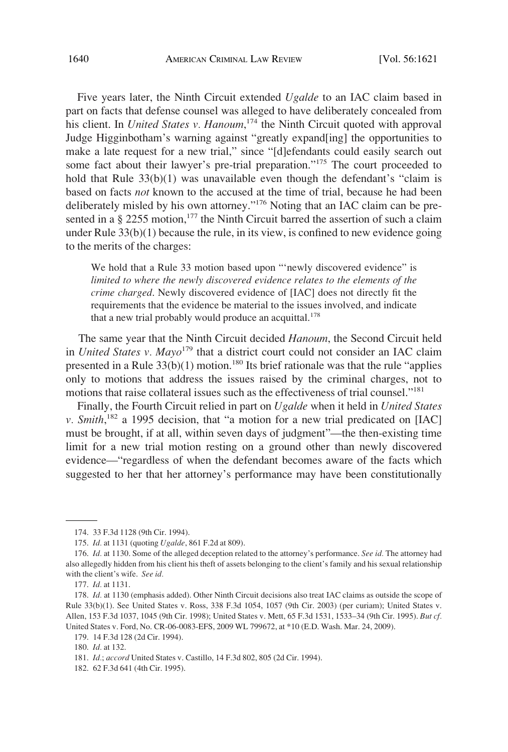Five years later, the Ninth Circuit extended *Ugalde* to an IAC claim based in part on facts that defense counsel was alleged to have deliberately concealed from his client. In *United States v. Hanoum*, 174 the Ninth Circuit quoted with approval Judge Higginbotham's warning against "greatly expand[ing] the opportunities to make a late request for a new trial," since "[d]efendants could easily search out some fact about their lawyer's pre-trial preparation."<sup>175</sup> The court proceeded to hold that Rule 33(b)(1) was unavailable even though the defendant's "claim is based on facts *not* known to the accused at the time of trial, because he had been deliberately misled by his own attorney."176 Noting that an IAC claim can be presented in a  $\S 2255$  motion,<sup>177</sup> the Ninth Circuit barred the assertion of such a claim under Rule 33(b)(1) because the rule, in its view, is confined to new evidence going to the merits of the charges:

We hold that a Rule 33 motion based upon "'newly discovered evidence" is *limited to where the newly discovered evidence relates to the elements of the crime charged*. Newly discovered evidence of [IAC] does not directly fit the requirements that the evidence be material to the issues involved, and indicate that a new trial probably would produce an acquittal.<sup>178</sup>

The same year that the Ninth Circuit decided *Hanoum*, the Second Circuit held in *United States v. Mayo*179 that a district court could not consider an IAC claim presented in a Rule  $33(b)(1)$  motion.<sup>180</sup> Its brief rationale was that the rule "applies" only to motions that address the issues raised by the criminal charges, not to motions that raise collateral issues such as the effectiveness of trial counsel."<sup>181</sup>

Finally, the Fourth Circuit relied in part on *Ugalde* when it held in *United States v. Smith*, 182 a 1995 decision, that "a motion for a new trial predicated on [IAC] must be brought, if at all, within seven days of judgment"—the then-existing time limit for a new trial motion resting on a ground other than newly discovered evidence—"regardless of when the defendant becomes aware of the facts which suggested to her that her attorney's performance may have been constitutionally

<sup>174. 33</sup> F.3d 1128 (9th Cir. 1994).

<sup>175.</sup> *Id.* at 1131 (quoting *Ugalde*, 861 F.2d at 809).

<sup>176.</sup> *Id.* at 1130. Some of the alleged deception related to the attorney's performance. *See id.* The attorney had also allegedly hidden from his client his theft of assets belonging to the client's family and his sexual relationship with the client's wife. *See id.* 

<sup>177.</sup> *Id.* at 1131.

<sup>178.</sup> *Id.* at 1130 (emphasis added). Other Ninth Circuit decisions also treat IAC claims as outside the scope of Rule 33(b)(1). See United States v. Ross, 338 F.3d 1054, 1057 (9th Cir. 2003) (per curiam); United States v. Allen, 153 F.3d 1037, 1045 (9th Cir. 1998); United States v. Mett, 65 F.3d 1531, 1533–34 (9th Cir. 1995). *But cf.*  United States v. Ford, No. CR-06-0083-EFS, 2009 WL 799672, at \*10 (E.D. Wash. Mar. 24, 2009).

<sup>179. 14</sup> F.3d 128 (2d Cir. 1994).

<sup>180.</sup> *Id.* at 132.

<sup>181.</sup> *Id.*; *accord* United States v. Castillo, 14 F.3d 802, 805 (2d Cir. 1994).

<sup>182. 62</sup> F.3d 641 (4th Cir. 1995).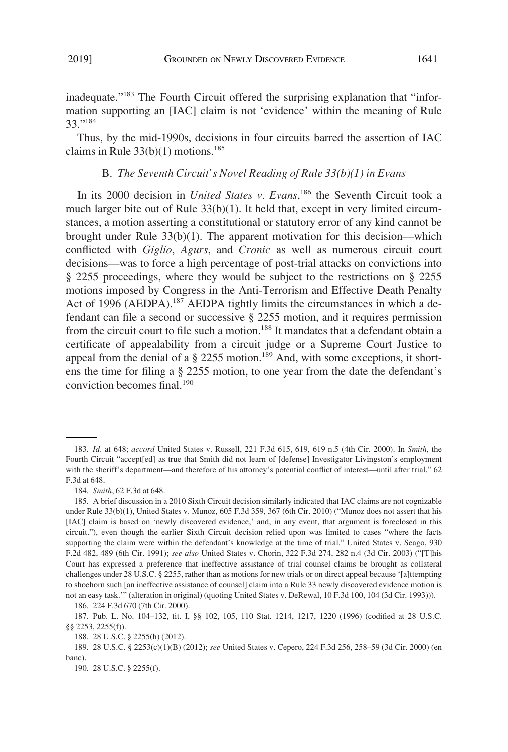inadequate."183 The Fourth Circuit offered the surprising explanation that "information supporting an [IAC] claim is not 'evidence' within the meaning of Rule 33."184

Thus, by the mid-1990s, decisions in four circuits barred the assertion of IAC claims in Rule  $33(b)(1)$  motions.<sup>185</sup>

### B. *The Seventh Circuit's Novel Reading of Rule 33(b)(1) in Evans*

In its 2000 decision in *United States v. Evans*, 186 the Seventh Circuit took a much larger bite out of Rule 33(b)(1). It held that, except in very limited circumstances, a motion asserting a constitutional or statutory error of any kind cannot be brought under Rule  $33(b)(1)$ . The apparent motivation for this decision—which conflicted with *Giglio*, *Agurs*, and *Cronic* as well as numerous circuit court decisions—was to force a high percentage of post-trial attacks on convictions into § 2255 proceedings, where they would be subject to the restrictions on § 2255 motions imposed by Congress in the Anti-Terrorism and Effective Death Penalty Act of 1996 (AEDPA).<sup>187</sup> AEDPA tightly limits the circumstances in which a defendant can file a second or successive § 2255 motion, and it requires permission from the circuit court to file such a motion.<sup>188</sup> It mandates that a defendant obtain a certificate of appealability from a circuit judge or a Supreme Court Justice to appeal from the denial of a  $\S$  2255 motion.<sup>189</sup> And, with some exceptions, it shortens the time for filing a § 2255 motion, to one year from the date the defendant's conviction becomes final.190

186. 224 F.3d 670 (7th Cir. 2000).

188. 28 U.S.C. § 2255(h) (2012).

<sup>183.</sup> *Id.* at 648; *accord* United States v. Russell, 221 F.3d 615, 619, 619 n.5 (4th Cir. 2000). In *Smith*, the Fourth Circuit "accept[ed] as true that Smith did not learn of [defense] Investigator Livingston's employment with the sheriff's department—and therefore of his attorney's potential conflict of interest—until after trial." 62 F.3d at 648.

<sup>184.</sup> *Smith*, 62 F.3d at 648.

<sup>185.</sup> A brief discussion in a 2010 Sixth Circuit decision similarly indicated that IAC claims are not cognizable under Rule 33(b)(1), United States v. Munoz, 605 F.3d 359, 367 (6th Cir. 2010) ("Munoz does not assert that his [IAC] claim is based on 'newly discovered evidence,' and, in any event, that argument is foreclosed in this circuit."), even though the earlier Sixth Circuit decision relied upon was limited to cases "where the facts supporting the claim were within the defendant's knowledge at the time of trial." United States v. Seago, 930 F.2d 482, 489 (6th Cir. 1991); *see also* United States v. Chorin, 322 F.3d 274, 282 n.4 (3d Cir. 2003) ("[T]his Court has expressed a preference that ineffective assistance of trial counsel claims be brought as collateral challenges under 28 U.S.C. § 2255, rather than as motions for new trials or on direct appeal because '[a]ttempting to shoehorn such [an ineffective assistance of counsel] claim into a Rule 33 newly discovered evidence motion is not an easy task.'" (alteration in original) (quoting United States v. DeRewal, 10 F.3d 100, 104 (3d Cir. 1993))).

<sup>187.</sup> Pub. L. No. 104–132, tit. I, §§ 102, 105, 110 Stat. 1214, 1217, 1220 (1996) (codified at 28 U.S.C. §§ 2253, 2255(f)).

<sup>189. 28</sup> U.S.C. § 2253(c)(1)(B) (2012); *see* United States v. Cepero, 224 F.3d 256, 258–59 (3d Cir. 2000) (en banc).

<sup>190. 28</sup> U.S.C. § 2255(f).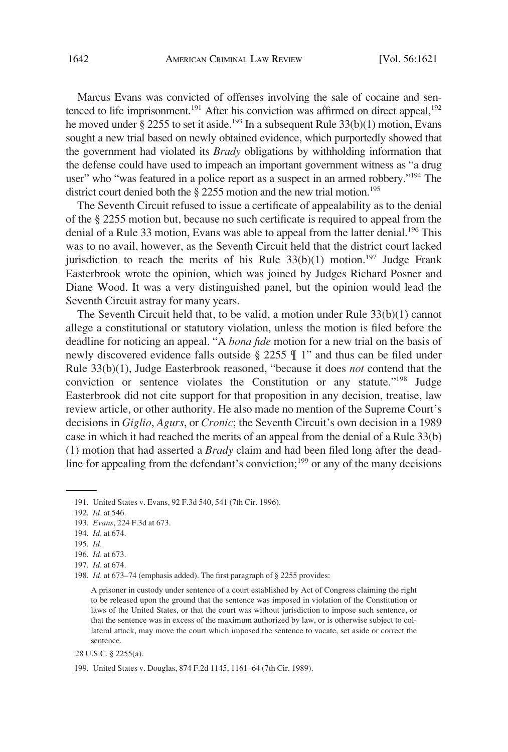Marcus Evans was convicted of offenses involving the sale of cocaine and sentenced to life imprisonment.<sup>191</sup> After his conviction was affirmed on direct appeal,<sup>192</sup> he moved under § 2255 to set it aside.<sup>193</sup> In a subsequent Rule  $33(b)(1)$  motion, Evans sought a new trial based on newly obtained evidence, which purportedly showed that the government had violated its *Brady* obligations by withholding information that the defense could have used to impeach an important government witness as "a drug user" who "was featured in a police report as a suspect in an armed robbery."194 The district court denied both the  $\S$  2255 motion and the new trial motion.<sup>195</sup>

The Seventh Circuit refused to issue a certificate of appealability as to the denial of the § 2255 motion but, because no such certificate is required to appeal from the denial of a Rule 33 motion, Evans was able to appeal from the latter denial.<sup>196</sup> This was to no avail, however, as the Seventh Circuit held that the district court lacked jurisdiction to reach the merits of his Rule  $33(b)(1)$  motion.<sup>197</sup> Judge Frank Easterbrook wrote the opinion, which was joined by Judges Richard Posner and Diane Wood. It was a very distinguished panel, but the opinion would lead the Seventh Circuit astray for many years.

The Seventh Circuit held that, to be valid, a motion under Rule 33(b)(1) cannot allege a constitutional or statutory violation, unless the motion is filed before the deadline for noticing an appeal. "A *bona fide* motion for a new trial on the basis of newly discovered evidence falls outside § 2255 ¶ 1" and thus can be filed under Rule 33(b)(1), Judge Easterbrook reasoned, "because it does *not* contend that the conviction or sentence violates the Constitution or any statute."<sup>198</sup> Judge Easterbrook did not cite support for that proposition in any decision, treatise, law review article, or other authority. He also made no mention of the Supreme Court's decisions in *Giglio*, *Agurs*, or *Cronic*; the Seventh Circuit's own decision in a 1989 case in which it had reached the merits of an appeal from the denial of a Rule 33(b) (1) motion that had asserted a *Brady* claim and had been filed long after the deadline for appealing from the defendant's conviction;<sup>199</sup> or any of the many decisions

<sup>191.</sup> United States v. Evans, 92 F.3d 540, 541 (7th Cir. 1996).

<sup>192.</sup> *Id.* at 546.

<sup>193.</sup> *Evans*, 224 F.3d at 673.

<sup>194.</sup> *Id.* at 674.

<sup>195.</sup> *Id.* 

<sup>196.</sup> *Id.* at 673.

<sup>197.</sup> *Id.* at 674.

<sup>198.</sup> *Id.* at 673–74 (emphasis added). The first paragraph of § 2255 provides:

A prisoner in custody under sentence of a court established by Act of Congress claiming the right to be released upon the ground that the sentence was imposed in violation of the Constitution or laws of the United States, or that the court was without jurisdiction to impose such sentence, or that the sentence was in excess of the maximum authorized by law, or is otherwise subject to collateral attack, may move the court which imposed the sentence to vacate, set aside or correct the sentence.

<sup>28</sup> U.S.C. § 2255(a).

<sup>199.</sup> United States v. Douglas, 874 F.2d 1145, 1161–64 (7th Cir. 1989).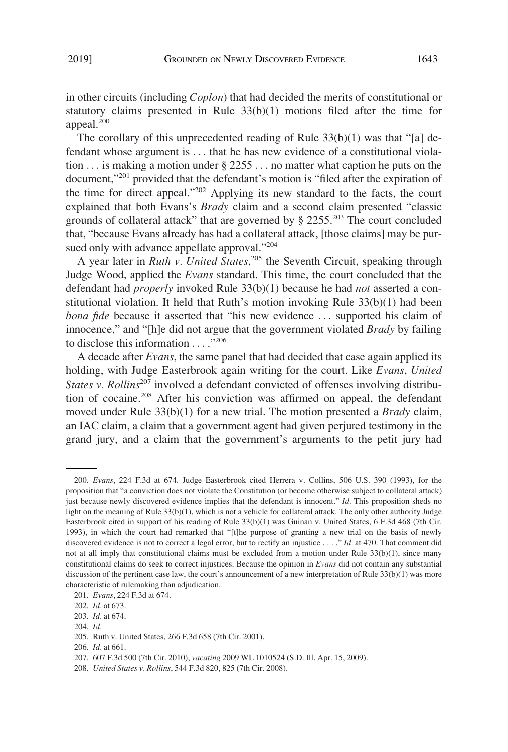in other circuits (including *Coplon*) that had decided the merits of constitutional or statutory claims presented in Rule  $33(b)(1)$  motions filed after the time for appeal.<sup>200</sup>

The corollary of this unprecedented reading of Rule 33(b)(1) was that "[a] defendant whose argument is . . . that he has new evidence of a constitutional violation . . . is making a motion under § 2255 . . . no matter what caption he puts on the document,"201 provided that the defendant's motion is "filed after the expiration of the time for direct appeal."202 Applying its new standard to the facts, the court explained that both Evans's *Brady* claim and a second claim presented "classic grounds of collateral attack" that are governed by  $\S 2255$ <sup>203</sup>. The court concluded that, "because Evans already has had a collateral attack, [those claims] may be pursued only with advance appellate approval."<sup>204</sup>

A year later in *Ruth v. United States*, 205 the Seventh Circuit, speaking through Judge Wood, applied the *Evans* standard. This time, the court concluded that the defendant had *properly* invoked Rule 33(b)(1) because he had *not* asserted a constitutional violation. It held that Ruth's motion invoking Rule  $33(b)(1)$  had been *bona fide* because it asserted that "his new evidence ... supported his claim of innocence," and "[h]e did not argue that the government violated *Brady* by failing to disclose this information . . . . "206"

A decade after *Evans*, the same panel that had decided that case again applied its holding, with Judge Easterbrook again writing for the court. Like *Evans*, *United States v. Rollins*<sup>207</sup> involved a defendant convicted of offenses involving distribution of cocaine.208 After his conviction was affirmed on appeal, the defendant moved under Rule 33(b)(1) for a new trial. The motion presented a *Brady* claim, an IAC claim, a claim that a government agent had given perjured testimony in the grand jury, and a claim that the government's arguments to the petit jury had

<sup>200.</sup> *Evans*, 224 F.3d at 674. Judge Easterbrook cited Herrera v. Collins, 506 U.S. 390 (1993), for the proposition that "a conviction does not violate the Constitution (or become otherwise subject to collateral attack) just because newly discovered evidence implies that the defendant is innocent." *Id.* This proposition sheds no light on the meaning of Rule 33(b)(1), which is not a vehicle for collateral attack. The only other authority Judge Easterbrook cited in support of his reading of Rule 33(b)(1) was Guinan v. United States, 6 F.3d 468 (7th Cir. 1993), in which the court had remarked that "[t]he purpose of granting a new trial on the basis of newly discovered evidence is not to correct a legal error, but to rectify an injustice . . . ." *Id.* at 470. That comment did not at all imply that constitutional claims must be excluded from a motion under Rule 33(b)(1), since many constitutional claims do seek to correct injustices. Because the opinion in *Evans* did not contain any substantial discussion of the pertinent case law, the court's announcement of a new interpretation of Rule 33(b)(1) was more characteristic of rulemaking than adjudication.

<sup>201.</sup> *Evans*, 224 F.3d at 674.

<sup>202.</sup> *Id.* at 673.

<sup>203.</sup> *Id.* at 674.

<sup>204.</sup> *Id.* 

<sup>205.</sup> Ruth v. United States, 266 F.3d 658 (7th Cir. 2001).

<sup>206.</sup> *Id.* at 661.

<sup>207. 607</sup> F.3d 500 (7th Cir. 2010), *vacating* 2009 WL 1010524 (S.D. Ill. Apr. 15, 2009).

<sup>208.</sup> *United States v. Rollins*, 544 F.3d 820, 825 (7th Cir. 2008).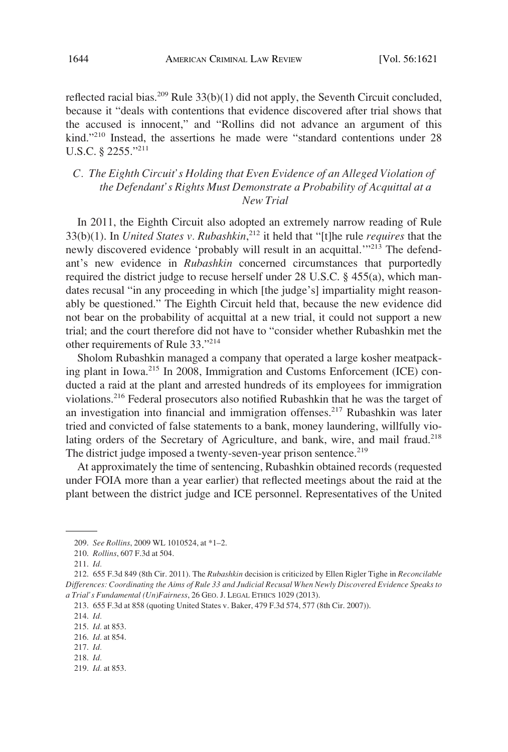reflected racial bias.<sup>209</sup> Rule  $33(b)(1)$  did not apply, the Seventh Circuit concluded, because it "deals with contentions that evidence discovered after trial shows that the accused is innocent," and "Rollins did not advance an argument of this kind."210 Instead, the assertions he made were "standard contentions under 28 U.S.C. § 2255."211

## *C. The Eighth Circuit's Holding that Even Evidence of an Alleged Violation of the Defendant's Rights Must Demonstrate a Probability of Acquittal at a New Trial*

In 2011, the Eighth Circuit also adopted an extremely narrow reading of Rule 33(b)(1). In *United States v. Rubashkin*, 212 it held that "[t]he rule *requires* that the newly discovered evidence 'probably will result in an acquittal.'"<sup>213</sup> The defendant's new evidence in *Rubashkin* concerned circumstances that purportedly required the district judge to recuse herself under 28 U.S.C. § 455(a), which mandates recusal "in any proceeding in which [the judge's] impartiality might reasonably be questioned." The Eighth Circuit held that, because the new evidence did not bear on the probability of acquittal at a new trial, it could not support a new trial; and the court therefore did not have to "consider whether Rubashkin met the other requirements of Rule 33."214

Sholom Rubashkin managed a company that operated a large kosher meatpacking plant in Iowa.<sup>215</sup> In 2008, Immigration and Customs Enforcement (ICE) conducted a raid at the plant and arrested hundreds of its employees for immigration violations.216 Federal prosecutors also notified Rubashkin that he was the target of an investigation into financial and immigration offenses.<sup>217</sup> Rubashkin was later tried and convicted of false statements to a bank, money laundering, willfully violating orders of the Secretary of Agriculture, and bank, wire, and mail fraud.<sup>218</sup> The district judge imposed a twenty-seven-year prison sentence.<sup>219</sup>

At approximately the time of sentencing, Rubashkin obtained records (requested under FOIA more than a year earlier) that reflected meetings about the raid at the plant between the district judge and ICE personnel. Representatives of the United

- 
- 219. *Id.* at 853.

<sup>209.</sup> *See Rollins*, 2009 WL 1010524, at \*1–2.

<sup>210.</sup> *Rollins*, 607 F.3d at 504.

<sup>211.</sup> *Id.* 

<sup>212. 655</sup> F.3d 849 (8th Cir. 2011). The *Rubashkin* decision is criticized by Ellen Rigler Tighe in *Reconcilable Differences: Coordinating the Aims of Rule 33 and Judicial Recusal When Newly Discovered Evidence Speaks to a Trial's Fundamental (Un)Fairness*, 26 GEO. J. LEGAL ETHICS 1029 (2013).

<sup>213. 655</sup> F.3d at 858 (quoting United States v. Baker, 479 F.3d 574, 577 (8th Cir. 2007)).

<sup>214.</sup> *Id.* 

<sup>215.</sup> *Id.* at 853.

<sup>216.</sup> *Id.* at 854.

<sup>217.</sup> *Id.*  218. *Id.*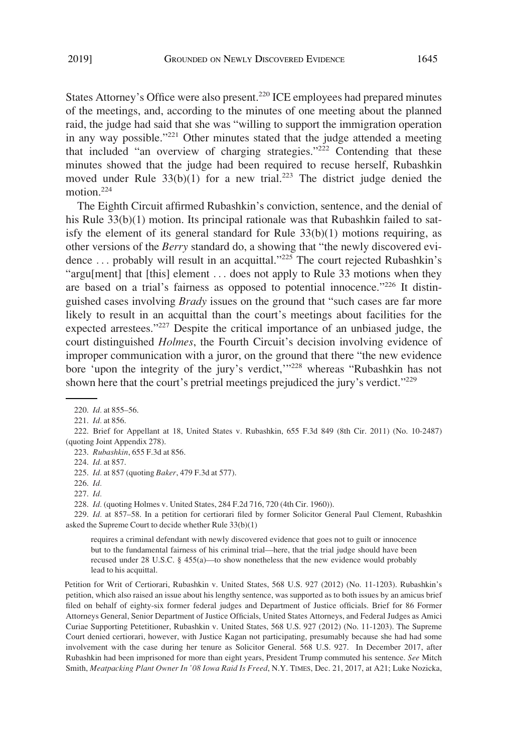States Attorney's Office were also present.<sup>220</sup> ICE employees had prepared minutes of the meetings, and, according to the minutes of one meeting about the planned raid, the judge had said that she was "willing to support the immigration operation in any way possible."221 Other minutes stated that the judge attended a meeting that included "an overview of charging strategies."<sup>222</sup> Contending that these minutes showed that the judge had been required to recuse herself, Rubashkin moved under Rule  $33(b)(1)$  for a new trial.<sup>223</sup> The district judge denied the motion.<sup>224</sup>

The Eighth Circuit affirmed Rubashkin's conviction, sentence, and the denial of his Rule 33(b)(1) motion. Its principal rationale was that Rubashkin failed to satisfy the element of its general standard for Rule  $33(b)(1)$  motions requiring, as other versions of the *Berry* standard do, a showing that "the newly discovered evidence ... probably will result in an acquittal."<sup>225</sup> The court rejected Rubashkin's "argu[ment] that [this] element . . . does not apply to Rule 33 motions when they are based on a trial's fairness as opposed to potential innocence."<sup>226</sup> It distinguished cases involving *Brady* issues on the ground that "such cases are far more likely to result in an acquittal than the court's meetings about facilities for the expected arrestees."<sup>227</sup> Despite the critical importance of an unbiased judge, the court distinguished *Holmes*, the Fourth Circuit's decision involving evidence of improper communication with a juror, on the ground that there "the new evidence bore 'upon the integrity of the jury's verdict,  $\frac{1}{228}$  whereas "Rubashkin has not shown here that the court's pretrial meetings prejudiced the jury's verdict."<sup>229</sup>

222. Brief for Appellant at 18, United States v. Rubashkin, 655 F.3d 849 (8th Cir. 2011) (No. 10-2487) (quoting Joint Appendix 278).

223. *Rubashkin*, 655 F.3d at 856.

229. *Id.* at 857–58. In a petition for certiorari filed by former Solicitor General Paul Clement, Rubashkin asked the Supreme Court to decide whether Rule 33(b)(1)

requires a criminal defendant with newly discovered evidence that goes not to guilt or innocence but to the fundamental fairness of his criminal trial—here, that the trial judge should have been recused under 28 U.S.C. § 455(a)—to show nonetheless that the new evidence would probably lead to his acquittal.

Petition for Writ of Certiorari, Rubashkin v. United States, 568 U.S. 927 (2012) (No. 11-1203). Rubashkin's petition, which also raised an issue about his lengthy sentence, was supported as to both issues by an amicus brief filed on behalf of eighty-six former federal judges and Department of Justice officials. Brief for 86 Former Attorneys General, Senior Department of Justice Officials, United States Attorneys, and Federal Judges as Amici Curiae Supporting Petetitioner, Rubashkin v. United States, 568 U.S. 927 (2012) (No. 11-1203). The Supreme Court denied certiorari, however, with Justice Kagan not participating, presumably because she had had some involvement with the case during her tenure as Solicitor General. 568 U.S. 927. In December 2017, after Rubashkin had been imprisoned for more than eight years, President Trump commuted his sentence. *See* Mitch Smith, *Meatpacking Plant Owner In '08 Iowa Raid Is Freed*, N.Y. TIMES, Dec. 21, 2017, at A21; Luke Nozicka,

<sup>220.</sup> *Id.* at 855–56.

<sup>221.</sup> *Id.* at 856.

<sup>224.</sup> *Id.* at 857.

<sup>225.</sup> *Id.* at 857 (quoting *Baker*, 479 F.3d at 577).

<sup>226.</sup> *Id.* 

<sup>227.</sup> *Id.* 

<sup>228.</sup> *Id.* (quoting Holmes v. United States, 284 F.2d 716, 720 (4th Cir. 1960)).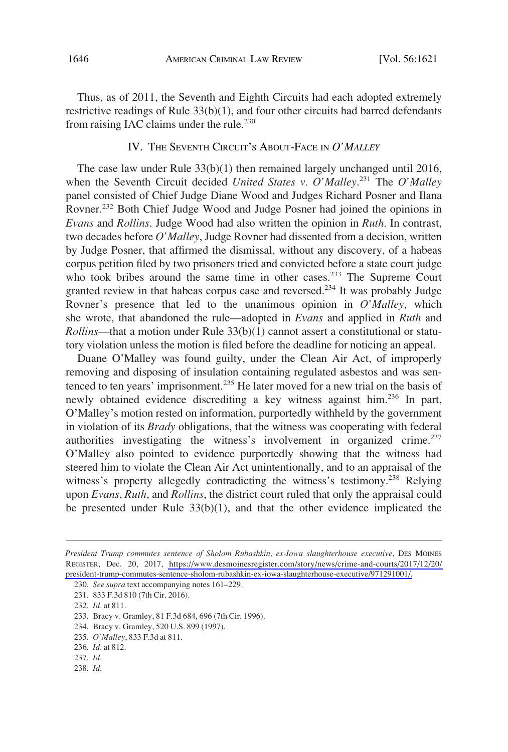Thus, as of 2011, the Seventh and Eighth Circuits had each adopted extremely restrictive readings of Rule  $33(b)(1)$ , and four other circuits had barred defendants from raising IAC claims under the rule.<sup>230</sup>

# IV. THE SEVENTH CIRCUIT'S ABOUT-FACE IN *O'MALLEY*

The case law under Rule 33(b)(1) then remained largely unchanged until 2016, when the Seventh Circuit decided *United States v. O'Malley*. 231 The *O'Malley*  panel consisted of Chief Judge Diane Wood and Judges Richard Posner and Ilana Rovner.<sup>232</sup> Both Chief Judge Wood and Judge Posner had joined the opinions in *Evans* and *Rollins*. Judge Wood had also written the opinion in *Ruth*. In contrast, two decades before *O'Malley*, Judge Rovner had dissented from a decision, written by Judge Posner, that affirmed the dismissal, without any discovery, of a habeas corpus petition filed by two prisoners tried and convicted before a state court judge who took bribes around the same time in other cases.<sup>233</sup> The Supreme Court granted review in that habeas corpus case and reversed.<sup>234</sup> It was probably Judge Rovner's presence that led to the unanimous opinion in *O'Malley*, which she wrote, that abandoned the rule—adopted in *Evans* and applied in *Ruth* and *Rollins*—that a motion under Rule 33(b)(1) cannot assert a constitutional or statutory violation unless the motion is filed before the deadline for noticing an appeal.

Duane O'Malley was found guilty, under the Clean Air Act, of improperly removing and disposing of insulation containing regulated asbestos and was sentenced to ten years' imprisonment.235 He later moved for a new trial on the basis of newly obtained evidence discrediting a key witness against him.236 In part, O'Malley's motion rested on information, purportedly withheld by the government in violation of its *Brady* obligations, that the witness was cooperating with federal authorities investigating the witness's involvement in organized crime.<sup>237</sup> O'Malley also pointed to evidence purportedly showing that the witness had steered him to violate the Clean Air Act unintentionally, and to an appraisal of the witness's property allegedly contradicting the witness's testimony.<sup>238</sup> Relying upon *Evans*, *Ruth*, and *Rollins*, the district court ruled that only the appraisal could be presented under Rule 33(b)(1), and that the other evidence implicated the

234. Bracy v. Gramley, 520 U.S. 899 (1997).

236. *Id.* at 812.

238. *Id.* 

*President Trump commutes sentence of Sholom Rubashkin, ex-Iowa slaughterhouse executive*, DES MOINES REGISTER, Dec. 20, 2017, [https://www.desmoinesregister.com/story/news/crime-and-courts/2017/12/20/](https://www.desmoinesregister.com/story/news/crime-and-courts/2017/12/20/president-trump-commutes-sentence-sholom-rubashkin-ex-iowa-slaughterhouse-executive/971291001/)  [president-trump-commutes-sentence-sholom-rubashkin-ex-iowa-slaughterhouse-executive/971291001/.](https://www.desmoinesregister.com/story/news/crime-and-courts/2017/12/20/president-trump-commutes-sentence-sholom-rubashkin-ex-iowa-slaughterhouse-executive/971291001/)

<sup>230.</sup> *See supra* text accompanying notes 161–229.

<sup>231. 833</sup> F.3d 810 (7th Cir. 2016).

<sup>232.</sup> *Id.* at 811.

<sup>233.</sup> Bracy v. Gramley, 81 F.3d 684, 696 (7th Cir. 1996).

<sup>235.</sup> *O'Malley*, 833 F.3d at 811.

<sup>237.</sup> *Id.*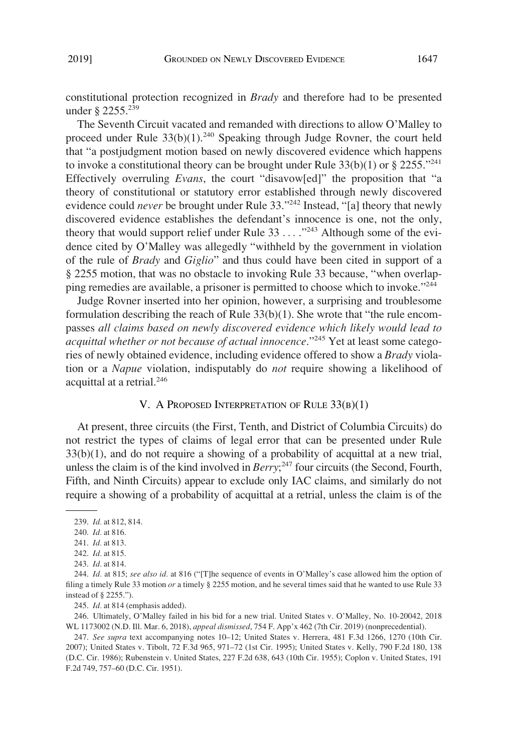constitutional protection recognized in *Brady* and therefore had to be presented under § 2255.<sup>239</sup>

The Seventh Circuit vacated and remanded with directions to allow O'Malley to proceed under Rule  $33(b)(1)$ .<sup>240</sup> Speaking through Judge Rovner, the court held that "a postjudgment motion based on newly discovered evidence which happens to invoke a constitutional theory can be brought under Rule  $33(b)(1)$  or § 2255.<sup>"241</sup> Effectively overruling *Evans*, the court "disavow[ed]" the proposition that "a theory of constitutional or statutory error established through newly discovered evidence could *never* be brought under Rule 33.<sup>3242</sup> Instead, "[a] theory that newly discovered evidence establishes the defendant's innocence is one, not the only, theory that would support relief under Rule 33 . . . . .<sup>"243</sup> Although some of the evidence cited by O'Malley was allegedly "withheld by the government in violation of the rule of *Brady* and *Giglio*" and thus could have been cited in support of a § 2255 motion, that was no obstacle to invoking Rule 33 because, "when overlapping remedies are available, a prisoner is permitted to choose which to invoke."244

Judge Rovner inserted into her opinion, however, a surprising and troublesome formulation describing the reach of Rule 33(b)(1). She wrote that "the rule encompasses *all claims based on newly discovered evidence which likely would lead to acquittal whether or not because of actual innocence*."245 Yet at least some categories of newly obtained evidence, including evidence offered to show a *Brady* violation or a *Napue* violation, indisputably do *not* require showing a likelihood of acquittal at a retrial.<sup>246</sup>

### V. A PROPOSED INTERPRETATION OF RULE 33(B)(1)

At present, three circuits (the First, Tenth, and District of Columbia Circuits) do not restrict the types of claims of legal error that can be presented under Rule  $33(b)(1)$ , and do not require a showing of a probability of acquittal at a new trial, unless the claim is of the kind involved in *Berry*; 247 four circuits (the Second, Fourth, Fifth, and Ninth Circuits) appear to exclude only IAC claims, and similarly do not require a showing of a probability of acquittal at a retrial, unless the claim is of the

245. *Id.* at 814 (emphasis added).

246. Ultimately, O'Malley failed in his bid for a new trial. United States v. O'Malley, No. 10-20042, 2018 WL 1173002 (N.D. Ill. Mar. 6, 2018), *appeal dismissed*, 754 F. App'x 462 (7th Cir. 2019) (nonprecedential).

247. *See supra* text accompanying notes 10–12; United States v. Herrera, 481 F.3d 1266, 1270 (10th Cir. 2007); United States v. Tibolt, 72 F.3d 965, 971–72 (1st Cir. 1995); United States v. Kelly, 790 F.2d 180, 138 (D.C. Cir. 1986); Rubenstein v. United States, 227 F.2d 638, 643 (10th Cir. 1955); Coplon v. United States, 191 F.2d 749, 757–60 (D.C. Cir. 1951).

<sup>239.</sup> *Id.* at 812, 814.

<sup>240.</sup> *Id.* at 816.

<sup>241.</sup> *Id.* at 813.

<sup>242.</sup> *Id.* at 815.

<sup>243.</sup> *Id.* at 814.

<sup>244.</sup> *Id.* at 815; *see also id.* at 816 ("[T]he sequence of events in O'Malley's case allowed him the option of filing a timely Rule 33 motion *or* a timely § 2255 motion, and he several times said that he wanted to use Rule 33 instead of § 2255.").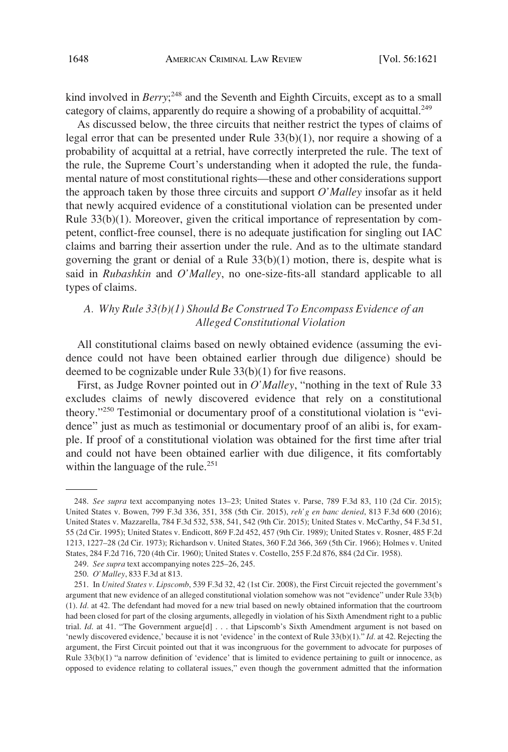kind involved in *Berry*;<sup>248</sup> and the Seventh and Eighth Circuits, except as to a small category of claims, apparently do require a showing of a probability of acquittal.<sup>249</sup>

As discussed below, the three circuits that neither restrict the types of claims of legal error that can be presented under Rule  $33(b)(1)$ , nor require a showing of a probability of acquittal at a retrial, have correctly interpreted the rule. The text of the rule, the Supreme Court's understanding when it adopted the rule, the fundamental nature of most constitutional rights—these and other considerations support the approach taken by those three circuits and support *O'Malley* insofar as it held that newly acquired evidence of a constitutional violation can be presented under Rule 33(b)(1). Moreover, given the critical importance of representation by competent, conflict-free counsel, there is no adequate justification for singling out IAC claims and barring their assertion under the rule. And as to the ultimate standard governing the grant or denial of a Rule  $33(b)(1)$  motion, there is, despite what is said in *Rubashkin* and *O'Malley*, no one-size-fits-all standard applicable to all types of claims.

# *A. Why Rule 33(b)(1) Should Be Construed To Encompass Evidence of an Alleged Constitutional Violation*

All constitutional claims based on newly obtained evidence (assuming the evidence could not have been obtained earlier through due diligence) should be deemed to be cognizable under Rule 33(b)(1) for five reasons.

First, as Judge Rovner pointed out in *O'Malley*, "nothing in the text of Rule 33 excludes claims of newly discovered evidence that rely on a constitutional theory."250 Testimonial or documentary proof of a constitutional violation is "evidence" just as much as testimonial or documentary proof of an alibi is, for example. If proof of a constitutional violation was obtained for the first time after trial and could not have been obtained earlier with due diligence, it fits comfortably within the language of the rule.<sup>251</sup>

<sup>248.</sup> *See supra* text accompanying notes 13–23; United States v. Parse, 789 F.3d 83, 110 (2d Cir. 2015); United States v. Bowen, 799 F.3d 336, 351, 358 (5th Cir. 2015), *reh'g en banc denied*, 813 F.3d 600 (2016); United States v. Mazzarella, 784 F.3d 532, 538, 541, 542 (9th Cir. 2015); United States v. McCarthy, 54 F.3d 51, 55 (2d Cir. 1995); United States v. Endicott, 869 F.2d 452, 457 (9th Cir. 1989); United States v. Rosner, 485 F.2d 1213, 1227–28 (2d Cir. 1973); Richardson v. United States, 360 F.2d 366, 369 (5th Cir. 1966); Holmes v. United States, 284 F.2d 716, 720 (4th Cir. 1960); United States v. Costello, 255 F.2d 876, 884 (2d Cir. 1958).

<sup>249.</sup> *See supra* text accompanying notes 225–26, 245.

<sup>250.</sup> *O'Malley*, 833 F.3d at 813.

<sup>251.</sup> In *United States v. Lipscomb*, 539 F.3d 32, 42 (1st Cir. 2008), the First Circuit rejected the government's argument that new evidence of an alleged constitutional violation somehow was not "evidence" under Rule 33(b) (1). *Id.* at 42. The defendant had moved for a new trial based on newly obtained information that the courtroom had been closed for part of the closing arguments, allegedly in violation of his Sixth Amendment right to a public trial. *Id.* at 41. "The Government argue<sup>[d]</sup> . . . that Lipscomb's Sixth Amendment argument is not based on 'newly discovered evidence,' because it is not 'evidence' in the context of Rule 33(b)(1)." *Id.* at 42. Rejecting the argument, the First Circuit pointed out that it was incongruous for the government to advocate for purposes of Rule 33(b)(1) "a narrow definition of 'evidence' that is limited to evidence pertaining to guilt or innocence, as opposed to evidence relating to collateral issues," even though the government admitted that the information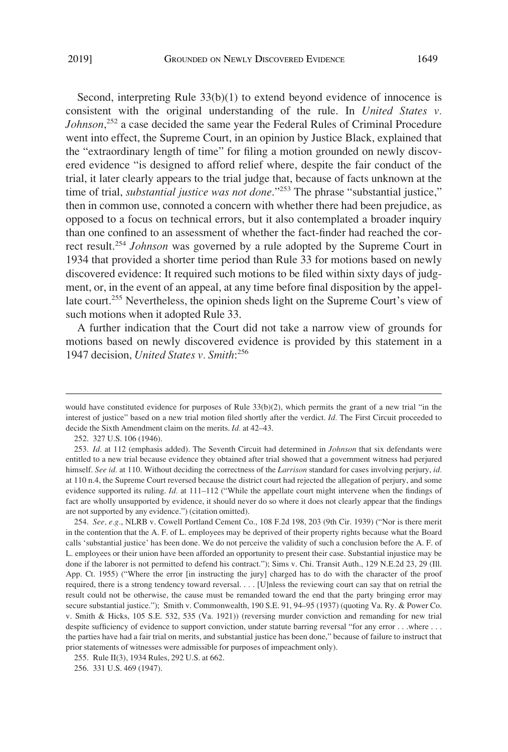Second, interpreting Rule  $33(b)(1)$  to extend beyond evidence of innocence is consistent with the original understanding of the rule. In *United States v. Johnson*, 252 a case decided the same year the Federal Rules of Criminal Procedure went into effect, the Supreme Court, in an opinion by Justice Black, explained that the "extraordinary length of time" for filing a motion grounded on newly discovered evidence "is designed to afford relief where, despite the fair conduct of the trial, it later clearly appears to the trial judge that, because of facts unknown at the time of trial, *substantial justice was not done*."<sup>253</sup> The phrase "substantial justice," then in common use, connoted a concern with whether there had been prejudice, as opposed to a focus on technical errors, but it also contemplated a broader inquiry than one confined to an assessment of whether the fact-finder had reached the correct result.254 *Johnson* was governed by a rule adopted by the Supreme Court in 1934 that provided a shorter time period than Rule 33 for motions based on newly discovered evidence: It required such motions to be filed within sixty days of judgment, or, in the event of an appeal, at any time before final disposition by the appellate court.<sup>255</sup> Nevertheless, the opinion sheds light on the Supreme Court's view of such motions when it adopted Rule 33.

A further indication that the Court did not take a narrow view of grounds for motions based on newly discovered evidence is provided by this statement in a 1947 decision, *United States v. Smith*: 256

252. 327 U.S. 106 (1946).

would have constituted evidence for purposes of Rule 33(b)(2), which permits the grant of a new trial "in the interest of justice" based on a new trial motion filed shortly after the verdict. *Id.* The First Circuit proceeded to decide the Sixth Amendment claim on the merits. *Id.* at 42–43.

<sup>253.</sup> *Id.* at 112 (emphasis added). The Seventh Circuit had determined in *Johnson* that six defendants were entitled to a new trial because evidence they obtained after trial showed that a government witness had perjured himself. *See id.* at 110. Without deciding the correctness of the *Larrison* standard for cases involving perjury, *id.*  at 110 n.4, the Supreme Court reversed because the district court had rejected the allegation of perjury, and some evidence supported its ruling. *Id.* at 111–112 ("While the appellate court might intervene when the findings of fact are wholly unsupported by evidence, it should never do so where it does not clearly appear that the findings are not supported by any evidence.") (citation omitted).

<sup>254.</sup> *See, e.g.*, NLRB v. Cowell Portland Cement Co., 108 F.2d 198, 203 (9th Cir. 1939) ("Nor is there merit in the contention that the A. F. of L. employees may be deprived of their property rights because what the Board calls 'substantial justice' has been done. We do not perceive the validity of such a conclusion before the A. F. of L. employees or their union have been afforded an opportunity to present their case. Substantial injustice may be done if the laborer is not permitted to defend his contract."); Sims v. Chi. Transit Auth., 129 N.E.2d 23, 29 (Ill. App. Ct. 1955) ("Where the error [in instructing the jury] charged has to do with the character of the proof required, there is a strong tendency toward reversal. . . . [U]nless the reviewing court can say that on retrial the result could not be otherwise, the cause must be remanded toward the end that the party bringing error may secure substantial justice."); Smith v. Commonwealth, 190 S.E. 91, 94–95 (1937) (quoting Va. Ry. & Power Co. v. Smith & Hicks, 105 S.E. 532, 535 (Va. 1921)) (reversing murder conviction and remanding for new trial despite sufficiency of evidence to support conviction, under statute barring reversal "for any error . . .where . . . the parties have had a fair trial on merits, and substantial justice has been done," because of failure to instruct that prior statements of witnesses were admissible for purposes of impeachment only).

<sup>255.</sup> Rule II(3), 1934 Rules, 292 U.S. at 662.

<sup>256. 331</sup> U.S. 469 (1947).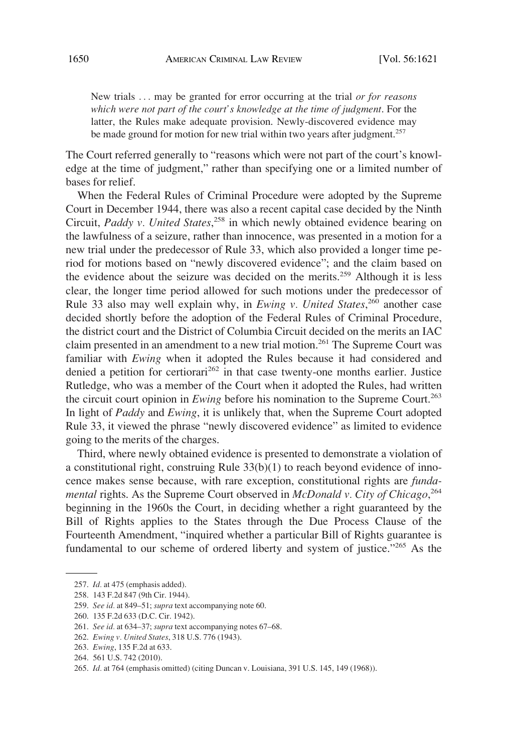New trials . . . may be granted for error occurring at the trial *or for reasons which were not part of the court's knowledge at the time of judgment*. For the latter, the Rules make adequate provision. Newly-discovered evidence may be made ground for motion for new trial within two years after judgment.<sup>257</sup>

The Court referred generally to "reasons which were not part of the court's knowledge at the time of judgment," rather than specifying one or a limited number of bases for relief.

When the Federal Rules of Criminal Procedure were adopted by the Supreme Court in December 1944, there was also a recent capital case decided by the Ninth Circuit, *Paddy v. United States*, 258 in which newly obtained evidence bearing on the lawfulness of a seizure, rather than innocence, was presented in a motion for a new trial under the predecessor of Rule 33, which also provided a longer time period for motions based on "newly discovered evidence"; and the claim based on the evidence about the seizure was decided on the merits.<sup>259</sup> Although it is less clear, the longer time period allowed for such motions under the predecessor of Rule 33 also may well explain why, in *Ewing v. United States*, 260 another case decided shortly before the adoption of the Federal Rules of Criminal Procedure, the district court and the District of Columbia Circuit decided on the merits an IAC claim presented in an amendment to a new trial motion.<sup>261</sup> The Supreme Court was familiar with *Ewing* when it adopted the Rules because it had considered and denied a petition for certiorari<sup>262</sup> in that case twenty-one months earlier. Justice Rutledge, who was a member of the Court when it adopted the Rules, had written the circuit court opinion in *Ewing* before his nomination to the Supreme Court.<sup>263</sup> In light of *Paddy* and *Ewing*, it is unlikely that, when the Supreme Court adopted Rule 33, it viewed the phrase "newly discovered evidence" as limited to evidence going to the merits of the charges.

Third, where newly obtained evidence is presented to demonstrate a violation of a constitutional right, construing Rule 33(b)(1) to reach beyond evidence of innocence makes sense because, with rare exception, constitutional rights are *fundamental* rights. As the Supreme Court observed in *McDonald v. City of Chicago*, 264 beginning in the 1960s the Court, in deciding whether a right guaranteed by the Bill of Rights applies to the States through the Due Process Clause of the Fourteenth Amendment, "inquired whether a particular Bill of Rights guarantee is fundamental to our scheme of ordered liberty and system of justice."<sup>265</sup> As the

<sup>257.</sup> *Id.* at 475 (emphasis added).

<sup>258. 143</sup> F.2d 847 (9th Cir. 1944).

<sup>259.</sup> *See id.* at 849–51; *supra* text accompanying note 60.

<sup>260. 135</sup> F.2d 633 (D.C. Cir. 1942).

<sup>261.</sup> *See id.* at 634–37; *supra* text accompanying notes 67–68.

<sup>262.</sup> *Ewing v. United States*, 318 U.S. 776 (1943).

<sup>263.</sup> *Ewing*, 135 F.2d at 633.

<sup>264. 561</sup> U.S. 742 (2010).

<sup>265.</sup> *Id.* at 764 (emphasis omitted) (citing Duncan v. Louisiana, 391 U.S. 145, 149 (1968)).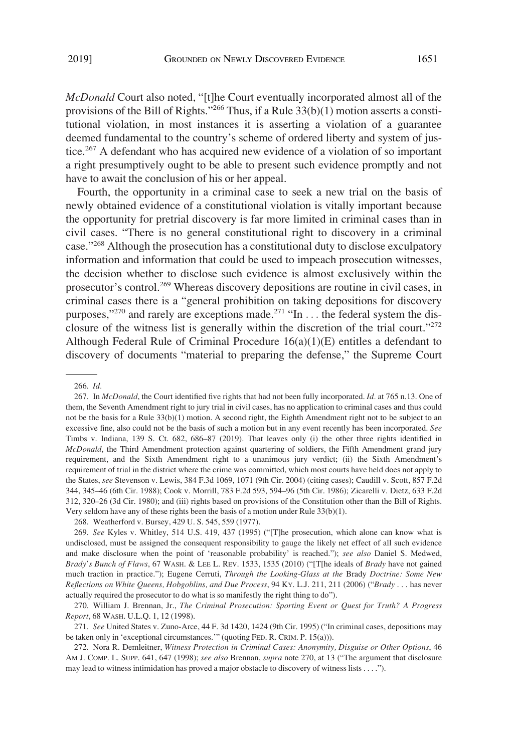*McDonald* Court also noted, "[t]he Court eventually incorporated almost all of the provisions of the Bill of Rights."<sup>266</sup> Thus, if a Rule  $33(b)(1)$  motion asserts a constitutional violation, in most instances it is asserting a violation of a guarantee deemed fundamental to the country's scheme of ordered liberty and system of justice.<sup>267</sup> A defendant who has acquired new evidence of a violation of so important a right presumptively ought to be able to present such evidence promptly and not have to await the conclusion of his or her appeal.

Fourth, the opportunity in a criminal case to seek a new trial on the basis of newly obtained evidence of a constitutional violation is vitally important because the opportunity for pretrial discovery is far more limited in criminal cases than in civil cases. "There is no general constitutional right to discovery in a criminal case."268 Although the prosecution has a constitutional duty to disclose exculpatory information and information that could be used to impeach prosecution witnesses, the decision whether to disclose such evidence is almost exclusively within the prosecutor's control.269 Whereas discovery depositions are routine in civil cases, in criminal cases there is a "general prohibition on taking depositions for discovery purposes," $^{270}$  and rarely are exceptions made. $^{271}$  "In ... the federal system the disclosure of the witness list is generally within the discretion of the trial court."<sup>272</sup> Although Federal Rule of Criminal Procedure 16(a)(1)(E) entitles a defendant to discovery of documents "material to preparing the defense," the Supreme Court

268. Weatherford v. Bursey, 429 U. S. 545, 559 (1977).

<sup>266.</sup> *Id.* 

<sup>267.</sup> In *McDonald*, the Court identified five rights that had not been fully incorporated. *Id.* at 765 n.13. One of them, the Seventh Amendment right to jury trial in civil cases, has no application to criminal cases and thus could not be the basis for a Rule 33(b)(1) motion. A second right, the Eighth Amendment right not to be subject to an excessive fine, also could not be the basis of such a motion but in any event recently has been incorporated. *See*  Timbs v. Indiana, 139 S. Ct. 682, 686–87 (2019). That leaves only (i) the other three rights identified in *McDonald*, the Third Amendment protection against quartering of soldiers, the Fifth Amendment grand jury requirement, and the Sixth Amendment right to a unanimous jury verdict; (ii) the Sixth Amendment's requirement of trial in the district where the crime was committed, which most courts have held does not apply to the States, *see* Stevenson v. Lewis, 384 F.3d 1069, 1071 (9th Cir. 2004) (citing cases); Caudill v. Scott, 857 F.2d 344, 345–46 (6th Cir. 1988); Cook v. Morrill, 783 F.2d 593, 594–96 (5th Cir. 1986); Zicarelli v. Dietz, 633 F.2d 312, 320–26 (3d Cir. 1980); and (iii) rights based on provisions of the Constitution other than the Bill of Rights. Very seldom have any of these rights been the basis of a motion under Rule 33(b)(1).

<sup>269.</sup> *See* Kyles v. Whitley, 514 U.S. 419, 437 (1995) ("[T]he prosecution, which alone can know what is undisclosed, must be assigned the consequent responsibility to gauge the likely net effect of all such evidence and make disclosure when the point of 'reasonable probability' is reached."); *see also* Daniel S. Medwed, *Brady's Bunch of Flaws*, 67 WASH. & LEE L. REV. 1533, 1535 (2010) ("[T[he ideals of *Brady* have not gained much traction in practice."); Eugene Cerruti, *Through the Looking-Glass at the* Brady *Doctrine: Some New Reflections on White Queens, Hobgoblins, and Due Process*, 94 KY. L.J. 211, 211 (2006) ("*Brady* . . . has never actually required the prosecutor to do what is so manifestly the right thing to do").

<sup>270.</sup> William J. Brennan, Jr., *The Criminal Prosecution: Sporting Event or Quest for Truth? A Progress Report*, 68 WASH. U.L.Q. 1, 12 (1998).

<sup>271.</sup> *See* United States v. Zuno-Arce, 44 F. 3d 1420, 1424 (9th Cir. 1995) ("In criminal cases, depositions may be taken only in 'exceptional circumstances.'" (quoting FED. R. CRIM. P. 15(a))).

<sup>272.</sup> Nora R. Demleitner, *Witness Protection in Criminal Cases: Anonymity, Disguise or Other Options*, 46 AM J. COMP. L. SUPP. 641, 647 (1998); *see also* Brennan, *supra* note 270, at 13 ("The argument that disclosure may lead to witness intimidation has proved a major obstacle to discovery of witness lists . . . .").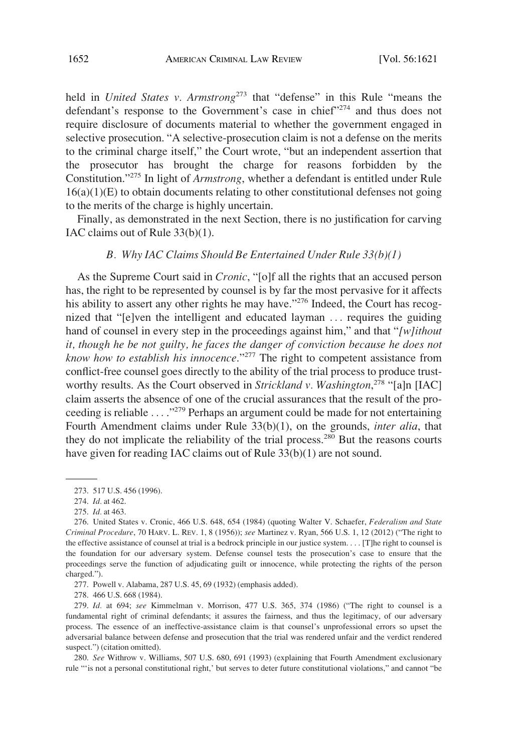held in *United States v. Armstrong*<sup>273</sup> that "defense" in this Rule "means the defendant's response to the Government's case in chief"<sup>274</sup> and thus does not require disclosure of documents material to whether the government engaged in selective prosecution. "A selective-prosecution claim is not a defense on the merits to the criminal charge itself," the Court wrote, "but an independent assertion that the prosecutor has brought the charge for reasons forbidden by the Constitution."275 In light of *Armstrong*, whether a defendant is entitled under Rule  $16(a)(1)(E)$  to obtain documents relating to other constitutional defenses not going to the merits of the charge is highly uncertain.

Finally, as demonstrated in the next Section, there is no justification for carving IAC claims out of Rule 33(b)(1).

### *B. Why IAC Claims Should Be Entertained Under Rule 33(b)(1)*

As the Supreme Court said in *Cronic*, "[o]f all the rights that an accused person has, the right to be represented by counsel is by far the most pervasive for it affects his ability to assert any other rights he may have."<sup>276</sup> Indeed, the Court has recognized that "[e]ven the intelligent and educated layman . . . requires the guiding hand of counsel in every step in the proceedings against him," and that "*[w]ithout it, though he be not guilty, he faces the danger of conviction because he does not know how to establish his innocence*."277 The right to competent assistance from conflict-free counsel goes directly to the ability of the trial process to produce trustworthy results. As the Court observed in *Strickland v. Washington*, 278 "[a]n [IAC] claim asserts the absence of one of the crucial assurances that the result of the proceeding is reliable . . . ."279 Perhaps an argument could be made for not entertaining Fourth Amendment claims under Rule 33(b)(1), on the grounds, *inter alia*, that they do not implicate the reliability of the trial process.280 But the reasons courts have given for reading IAC claims out of Rule 33(b)(1) are not sound.

277. Powell v. Alabama, 287 U.S. 45, 69 (1932) (emphasis added).

278. 466 U.S. 668 (1984).

279. *Id.* at 694; *see* Kimmelman v. Morrison, 477 U.S. 365, 374 (1986) ("The right to counsel is a fundamental right of criminal defendants; it assures the fairness, and thus the legitimacy, of our adversary process. The essence of an ineffective-assistance claim is that counsel's unprofessional errors so upset the adversarial balance between defense and prosecution that the trial was rendered unfair and the verdict rendered suspect.") (citation omitted).

280. *See* Withrow v. Williams, 507 U.S. 680, 691 (1993) (explaining that Fourth Amendment exclusionary rule "'is not a personal constitutional right,' but serves to deter future constitutional violations," and cannot "be

<sup>273. 517</sup> U.S. 456 (1996).

<sup>274.</sup> *Id.* at 462.

<sup>275.</sup> *Id.* at 463.

<sup>276.</sup> United States v. Cronic, 466 U.S. 648, 654 (1984) (quoting Walter V. Schaefer, *Federalism and State Criminal Procedure*, 70 HARV. L. REV. 1, 8 (1956)); *see* Martinez v. Ryan, 566 U.S. 1, 12 (2012) ("The right to the effective assistance of counsel at trial is a bedrock principle in our justice system. . . . [T]he right to counsel is the foundation for our adversary system. Defense counsel tests the prosecution's case to ensure that the proceedings serve the function of adjudicating guilt or innocence, while protecting the rights of the person charged.").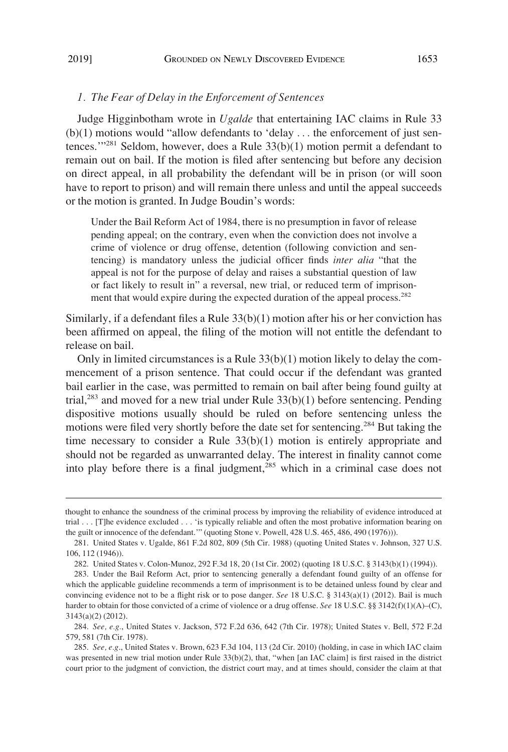### *1. The Fear of Delay in the Enforcement of Sentences*

Judge Higginbotham wrote in *Ugalde* that entertaining IAC claims in Rule 33  $(b)(1)$  motions would "allow defendants to 'delay ... the enforcement of just sentences.'"281 Seldom, however, does a Rule 33(b)(1) motion permit a defendant to remain out on bail. If the motion is filed after sentencing but before any decision on direct appeal, in all probability the defendant will be in prison (or will soon have to report to prison) and will remain there unless and until the appeal succeeds or the motion is granted. In Judge Boudin's words:

Under the Bail Reform Act of 1984, there is no presumption in favor of release pending appeal; on the contrary, even when the conviction does not involve a crime of violence or drug offense, detention (following conviction and sentencing) is mandatory unless the judicial officer finds *inter alia* "that the appeal is not for the purpose of delay and raises a substantial question of law or fact likely to result in" a reversal, new trial, or reduced term of imprisonment that would expire during the expected duration of the appeal process.<sup>282</sup>

Similarly, if a defendant files a Rule 33(b)(1) motion after his or her conviction has been affirmed on appeal, the filing of the motion will not entitle the defendant to release on bail.

Only in limited circumstances is a Rule  $33(b)(1)$  motion likely to delay the commencement of a prison sentence. That could occur if the defendant was granted bail earlier in the case, was permitted to remain on bail after being found guilty at trial,<sup>283</sup> and moved for a new trial under Rule  $33(b)(1)$  before sentencing. Pending dispositive motions usually should be ruled on before sentencing unless the motions were filed very shortly before the date set for sentencing.<sup>284</sup> But taking the time necessary to consider a Rule 33(b)(1) motion is entirely appropriate and should not be regarded as unwarranted delay. The interest in finality cannot come into play before there is a final judgment, $285$  which in a criminal case does not

thought to enhance the soundness of the criminal process by improving the reliability of evidence introduced at trial . . . [T]he evidence excluded . . . 'is typically reliable and often the most probative information bearing on the guilt or innocence of the defendant.'" (quoting Stone v. Powell, 428 U.S. 465, 486, 490 (1976))).

<sup>281.</sup> United States v. Ugalde, 861 F.2d 802, 809 (5th Cir. 1988) (quoting United States v. Johnson, 327 U.S. 106, 112 (1946)).

<sup>282.</sup> United States v. Colon-Munoz, 292 F.3d 18, 20 (1st Cir. 2002) (quoting 18 U.S.C. § 3143(b)(1) (1994)).

<sup>283.</sup> Under the Bail Reform Act, prior to sentencing generally a defendant found guilty of an offense for which the applicable guideline recommends a term of imprisonment is to be detained unless found by clear and convincing evidence not to be a flight risk or to pose danger. *See* 18 U.S.C. § 3143(a)(1) (2012). Bail is much harder to obtain for those convicted of a crime of violence or a drug offense. *See* 18 U.S.C. §§ 3142(f)(1)(A)–(C), 3143(a)(2) (2012).

<sup>284.</sup> *See, e.g.*, United States v. Jackson, 572 F.2d 636, 642 (7th Cir. 1978); United States v. Bell, 572 F.2d 579, 581 (7th Cir. 1978).

<sup>285.</sup> *See, e.g*., United States v. Brown, 623 F.3d 104, 113 (2d Cir. 2010) (holding, in case in which IAC claim was presented in new trial motion under Rule 33(b)(2), that, "when [an IAC claim] is first raised in the district court prior to the judgment of conviction, the district court may, and at times should, consider the claim at that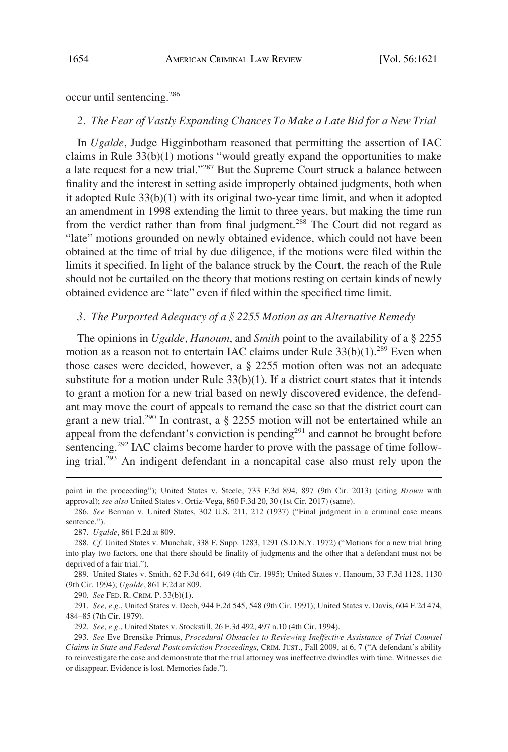occur until sentencing.<sup>286</sup>

#### *2. The Fear of Vastly Expanding Chances To Make a Late Bid for a New Trial*

In *Ugalde*, Judge Higginbotham reasoned that permitting the assertion of IAC claims in Rule 33(b)(1) motions "would greatly expand the opportunities to make a late request for a new trial."287 But the Supreme Court struck a balance between finality and the interest in setting aside improperly obtained judgments, both when it adopted Rule 33(b)(1) with its original two-year time limit, and when it adopted an amendment in 1998 extending the limit to three years, but making the time run from the verdict rather than from final judgment.<sup>288</sup> The Court did not regard as "late" motions grounded on newly obtained evidence, which could not have been obtained at the time of trial by due diligence, if the motions were filed within the limits it specified. In light of the balance struck by the Court, the reach of the Rule should not be curtailed on the theory that motions resting on certain kinds of newly obtained evidence are "late" even if filed within the specified time limit.

### *3. The Purported Adequacy of a § 2255 Motion as an Alternative Remedy*

The opinions in *Ugalde*, *Hanoum*, and *Smith* point to the availability of a § 2255 motion as a reason not to entertain IAC claims under Rule  $33(b)(1)$ <sup>289</sup> Even when those cases were decided, however, a § 2255 motion often was not an adequate substitute for a motion under Rule  $33(b)(1)$ . If a district court states that it intends to grant a motion for a new trial based on newly discovered evidence, the defendant may move the court of appeals to remand the case so that the district court can grant a new trial.<sup>290</sup> In contrast, a  $\S$  2255 motion will not be entertained while an appeal from the defendant's conviction is pending<sup>291</sup> and cannot be brought before sentencing.<sup>292</sup> IAC claims become harder to prove with the passage of time following trial.293 An indigent defendant in a noncapital case also must rely upon the

point in the proceeding"); United States v. Steele, 733 F.3d 894, 897 (9th Cir. 2013) (citing *Brown* with approval); *see also* United States v. Ortiz-Vega, 860 F.3d 20, 30 (1st Cir. 2017) (same).

<sup>286.</sup> *See* Berman v. United States, 302 U.S. 211, 212 (1937) ("Final judgment in a criminal case means sentence.").

<sup>287.</sup> *Ugalde*, 861 F.2d at 809.

<sup>288.</sup> *Cf.* United States v. Munchak, 338 F. Supp. 1283, 1291 (S.D.N.Y. 1972) ("Motions for a new trial bring into play two factors, one that there should be finality of judgments and the other that a defendant must not be deprived of a fair trial.").

<sup>289.</sup> United States v. Smith, 62 F.3d 641, 649 (4th Cir. 1995); United States v. Hanoum, 33 F.3d 1128, 1130 (9th Cir. 1994); *Ugalde*, 861 F.2d at 809.

<sup>290.</sup> *See* FED. R. CRIM. P. 33(b)(1).

<sup>291.</sup> *See, e.g.*, United States v. Deeb, 944 F.2d 545, 548 (9th Cir. 1991); United States v. Davis, 604 F.2d 474, 484–85 (7th Cir. 1979).

<sup>292.</sup> *See, e.g.*, United States v. Stockstill, 26 F.3d 492, 497 n.10 (4th Cir. 1994).

<sup>293.</sup> *See* Eve Brensike Primus, *Procedural Obstacles to Reviewing Ineffective Assistance of Trial Counsel Claims in State and Federal Postconviction Proceedings*, CRIM. JUST., Fall 2009, at 6, 7 ("A defendant's ability to reinvestigate the case and demonstrate that the trial attorney was ineffective dwindles with time. Witnesses die or disappear. Evidence is lost. Memories fade.").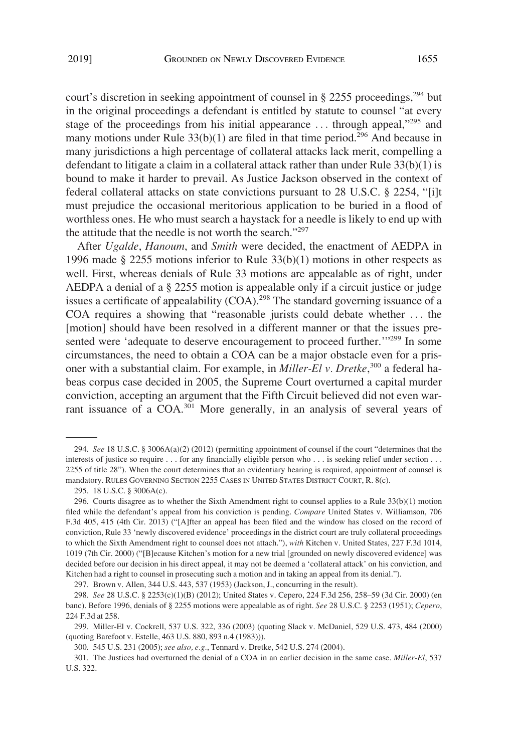court's discretion in seeking appointment of counsel in  $\S 2255$  proceedings,<sup>294</sup> but in the original proceedings a defendant is entitled by statute to counsel "at every stage of the proceedings from his initial appearance  $\dots$  through appeal,"<sup>295</sup> and many motions under Rule  $33(b)(1)$  are filed in that time period.<sup>296</sup> And because in many jurisdictions a high percentage of collateral attacks lack merit, compelling a defendant to litigate a claim in a collateral attack rather than under Rule 33(b)(1) is bound to make it harder to prevail. As Justice Jackson observed in the context of federal collateral attacks on state convictions pursuant to 28 U.S.C. § 2254, "[i]t must prejudice the occasional meritorious application to be buried in a flood of worthless ones. He who must search a haystack for a needle is likely to end up with the attitude that the needle is not worth the search."<sup>297</sup>

After *Ugalde*, *Hanoum*, and *Smith* were decided, the enactment of AEDPA in 1996 made § 2255 motions inferior to Rule  $33(b)(1)$  motions in other respects as well. First, whereas denials of Rule 33 motions are appealable as of right, under AEDPA a denial of a § 2255 motion is appealable only if a circuit justice or judge issues a certificate of appealability (COA).<sup>298</sup> The standard governing issuance of a COA requires a showing that "reasonable jurists could debate whether . . . the [motion] should have been resolved in a different manner or that the issues presented were 'adequate to deserve encouragement to proceed further."<sup>299</sup> In some circumstances, the need to obtain a COA can be a major obstacle even for a prisoner with a substantial claim. For example, in *Miller-El v. Dretke*, 300 a federal habeas corpus case decided in 2005, the Supreme Court overturned a capital murder conviction, accepting an argument that the Fifth Circuit believed did not even warrant issuance of a COA.<sup>301</sup> More generally, in an analysis of several years of

<sup>294.</sup> *See* 18 U.S.C. § 3006A(a)(2) (2012) (permitting appointment of counsel if the court "determines that the interests of justice so require . . . for any financially eligible person who . . . is seeking relief under section . . . 2255 of title 28"). When the court determines that an evidentiary hearing is required, appointment of counsel is mandatory. RULES GOVERNING SECTION 2255 CASES IN UNITED STATES DISTRICT COURT, R. 8(c).

<sup>295. 18</sup> U.S.C. § 3006A(c).

<sup>296.</sup> Courts disagree as to whether the Sixth Amendment right to counsel applies to a Rule 33(b)(1) motion filed while the defendant's appeal from his conviction is pending. *Compare* United States v. Williamson, 706 F.3d 405, 415 (4th Cir. 2013) ("[A]fter an appeal has been filed and the window has closed on the record of conviction, Rule 33 'newly discovered evidence' proceedings in the district court are truly collateral proceedings to which the Sixth Amendment right to counsel does not attach."), *with* Kitchen v. United States, 227 F.3d 1014, 1019 (7th Cir. 2000) ("[B]ecause Kitchen's motion for a new trial [grounded on newly discovered evidence] was decided before our decision in his direct appeal, it may not be deemed a 'collateral attack' on his conviction, and Kitchen had a right to counsel in prosecuting such a motion and in taking an appeal from its denial.").

<sup>297.</sup> Brown v. Allen, 344 U.S. 443, 537 (1953) (Jackson, J., concurring in the result).

<sup>298.</sup> *See* 28 U.S.C. § 2253(c)(1)(B) (2012); United States v. Cepero, 224 F.3d 256, 258–59 (3d Cir. 2000) (en banc). Before 1996, denials of § 2255 motions were appealable as of right. *See* 28 U.S.C. § 2253 (1951); *Cepero*, 224 F.3d at 258.

<sup>299.</sup> Miller-El v. Cockrell, 537 U.S. 322, 336 (2003) (quoting Slack v. McDaniel, 529 U.S. 473, 484 (2000) (quoting Barefoot v. Estelle, 463 U.S. 880, 893 n.4 (1983))).

<sup>300. 545</sup> U.S. 231 (2005); *see also, e.g.*, Tennard v. Dretke, 542 U.S. 274 (2004).

<sup>301.</sup> The Justices had overturned the denial of a COA in an earlier decision in the same case. *Miller-El*, 537 U.S. 322.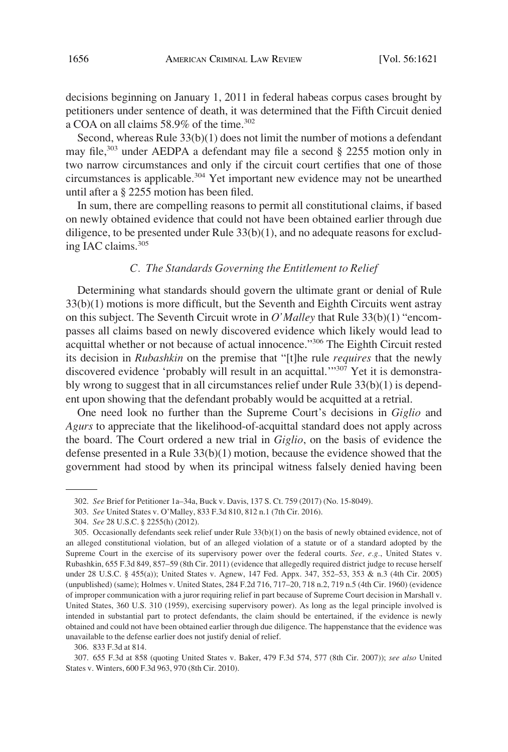decisions beginning on January 1, 2011 in federal habeas corpus cases brought by petitioners under sentence of death, it was determined that the Fifth Circuit denied a COA on all claims  $58.9\%$  of the time.<sup>302</sup>

Second, whereas Rule 33(b)(1) does not limit the number of motions a defendant may file,303 under AEDPA a defendant may file a second § 2255 motion only in two narrow circumstances and only if the circuit court certifies that one of those circumstances is applicable.<sup>304</sup> Yet important new evidence may not be unearthed until after a § 2255 motion has been filed.

In sum, there are compelling reasons to permit all constitutional claims, if based on newly obtained evidence that could not have been obtained earlier through due diligence, to be presented under Rule  $33(b)(1)$ , and no adequate reasons for excluding IAC claims.<sup>305</sup>

### *C. The Standards Governing the Entitlement to Relief*

Determining what standards should govern the ultimate grant or denial of Rule 33(b)(1) motions is more difficult, but the Seventh and Eighth Circuits went astray on this subject. The Seventh Circuit wrote in *O'Malley* that Rule 33(b)(1) "encompasses all claims based on newly discovered evidence which likely would lead to acquittal whether or not because of actual innocence."306 The Eighth Circuit rested its decision in *Rubashkin* on the premise that "[t]he rule *requires* that the newly discovered evidence 'probably will result in an acquittal."<sup>307</sup> Yet it is demonstrably wrong to suggest that in all circumstances relief under Rule 33(b)(1) is dependent upon showing that the defendant probably would be acquitted at a retrial.

One need look no further than the Supreme Court's decisions in *Giglio* and *Agurs* to appreciate that the likelihood-of-acquittal standard does not apply across the board. The Court ordered a new trial in *Giglio*, on the basis of evidence the defense presented in a Rule  $33(b)(1)$  motion, because the evidence showed that the government had stood by when its principal witness falsely denied having been

<sup>302.</sup> *See* Brief for Petitioner 1a–34a, Buck v. Davis, 137 S. Ct. 759 (2017) (No. 15-8049).

<sup>303.</sup> *See* United States v. O'Malley, 833 F.3d 810, 812 n.1 (7th Cir. 2016).

<sup>304.</sup> *See* 28 U.S.C. § 2255(h) (2012).

<sup>305.</sup> Occasionally defendants seek relief under Rule 33(b)(1) on the basis of newly obtained evidence, not of an alleged constitutional violation, but of an alleged violation of a statute or of a standard adopted by the Supreme Court in the exercise of its supervisory power over the federal courts. *See, e.g.*, United States v. Rubashkin, 655 F.3d 849, 857–59 (8th Cir. 2011) (evidence that allegedly required district judge to recuse herself under 28 U.S.C. § 455(a)); United States v. Agnew, 147 Fed. Appx. 347, 352–53, 353 & n.3 (4th Cir. 2005) (unpublished) (same); Holmes v. United States, 284 F.2d 716, 717–20, 718 n.2, 719 n.5 (4th Cir. 1960) (evidence of improper communication with a juror requiring relief in part because of Supreme Court decision in Marshall v. United States, 360 U.S. 310 (1959), exercising supervisory power). As long as the legal principle involved is intended in substantial part to protect defendants, the claim should be entertained, if the evidence is newly obtained and could not have been obtained earlier through due diligence. The happenstance that the evidence was unavailable to the defense earlier does not justify denial of relief.

<sup>306. 833</sup> F.3d at 814.

<sup>307. 655</sup> F.3d at 858 (quoting United States v. Baker, 479 F.3d 574, 577 (8th Cir. 2007)); *see also* United States v. Winters, 600 F.3d 963, 970 (8th Cir. 2010).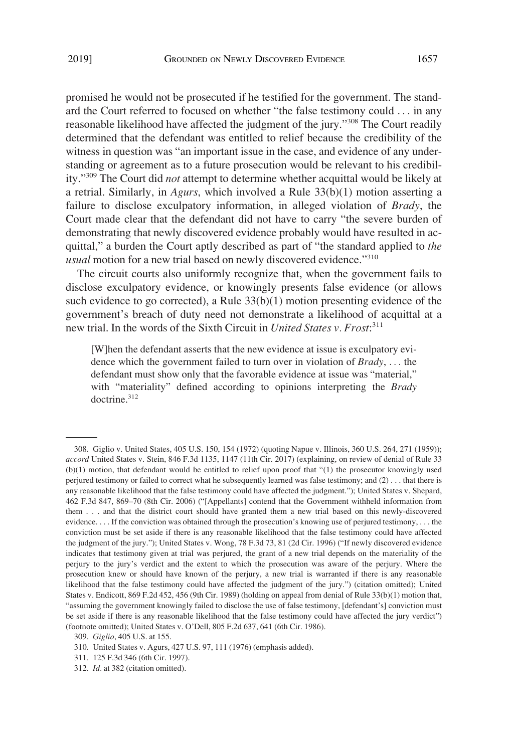promised he would not be prosecuted if he testified for the government. The standard the Court referred to focused on whether "the false testimony could . . . in any reasonable likelihood have affected the judgment of the jury."308 The Court readily determined that the defendant was entitled to relief because the credibility of the witness in question was "an important issue in the case, and evidence of any understanding or agreement as to a future prosecution would be relevant to his credibility."309 The Court did *not* attempt to determine whether acquittal would be likely at a retrial. Similarly, in *Agurs*, which involved a Rule 33(b)(1) motion asserting a failure to disclose exculpatory information, in alleged violation of *Brady*, the Court made clear that the defendant did not have to carry "the severe burden of demonstrating that newly discovered evidence probably would have resulted in acquittal," a burden the Court aptly described as part of "the standard applied to *the usual* motion for a new trial based on newly discovered evidence."<sup>310</sup>

The circuit courts also uniformly recognize that, when the government fails to disclose exculpatory evidence, or knowingly presents false evidence (or allows such evidence to go corrected), a Rule 33(b)(1) motion presenting evidence of the government's breach of duty need not demonstrate a likelihood of acquittal at a new trial. In the words of the Sixth Circuit in *United States v. Frost*: 311

[W]hen the defendant asserts that the new evidence at issue is exculpatory evidence which the government failed to turn over in violation of *Brady*, . . . the defendant must show only that the favorable evidence at issue was "material," with "materiality" defined according to opinions interpreting the *Brady*  doctrine.<sup>312</sup>

<sup>308.</sup> Giglio v. United States, 405 U.S. 150, 154 (1972) (quoting Napue v. Illinois, 360 U.S. 264, 271 (1959)); *accord* United States v. Stein, 846 F.3d 1135, 1147 (11th Cir. 2017) (explaining, on review of denial of Rule 33 (b)(1) motion, that defendant would be entitled to relief upon proof that "(1) the prosecutor knowingly used perjured testimony or failed to correct what he subsequently learned was false testimony; and (2) . . . that there is any reasonable likelihood that the false testimony could have affected the judgment."); United States v. Shepard, 462 F.3d 847, 869–70 (8th Cir. 2006) ("[Appellants] contend that the Government withheld information from them . . . and that the district court should have granted them a new trial based on this newly-discovered evidence. . . . If the conviction was obtained through the prosecution's knowing use of perjured testimony, . . . the conviction must be set aside if there is any reasonable likelihood that the false testimony could have affected the judgment of the jury."); United States v. Wong, 78 F.3d 73, 81 (2d Cir. 1996) ("If newly discovered evidence indicates that testimony given at trial was perjured, the grant of a new trial depends on the materiality of the perjury to the jury's verdict and the extent to which the prosecution was aware of the perjury. Where the prosecution knew or should have known of the perjury, a new trial is warranted if there is any reasonable likelihood that the false testimony could have affected the judgment of the jury.") (citation omitted); United States v. Endicott, 869 F.2d 452, 456 (9th Cir. 1989) (holding on appeal from denial of Rule 33(b)(1) motion that, "assuming the government knowingly failed to disclose the use of false testimony, [defendant's] conviction must be set aside if there is any reasonable likelihood that the false testimony could have affected the jury verdict") (footnote omitted); United States v. O'Dell, 805 F.2d 637, 641 (6th Cir. 1986).

<sup>309.</sup> *Giglio*, 405 U.S. at 155.

<sup>310.</sup> United States v. Agurs, 427 U.S. 97, 111 (1976) (emphasis added).

<sup>311. 125</sup> F.3d 346 (6th Cir. 1997).

<sup>312.</sup> *Id.* at 382 (citation omitted).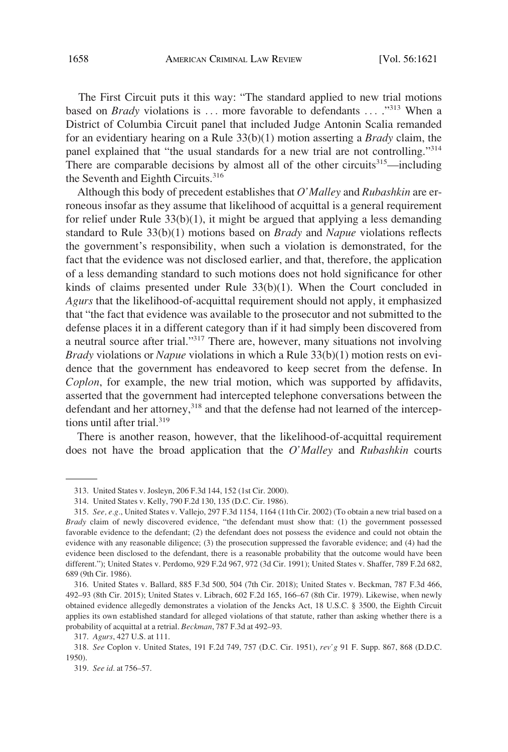The First Circuit puts it this way: "The standard applied to new trial motions based on *Brady* violations is ... more favorable to defendants ... ."<sup>313</sup> When a District of Columbia Circuit panel that included Judge Antonin Scalia remanded for an evidentiary hearing on a Rule 33(b)(1) motion asserting a *Brady* claim, the panel explained that "the usual standards for a new trial are not controlling."<sup>314</sup> There are comparable decisions by almost all of the other circuits<sup>315</sup>—including the Seventh and Eighth Circuits.<sup>316</sup>

Although this body of precedent establishes that *O'Malley* and *Rubashkin* are erroneous insofar as they assume that likelihood of acquittal is a general requirement for relief under Rule  $33(b)(1)$ , it might be argued that applying a less demanding standard to Rule 33(b)(1) motions based on *Brady* and *Napue* violations reflects the government's responsibility, when such a violation is demonstrated, for the fact that the evidence was not disclosed earlier, and that, therefore, the application of a less demanding standard to such motions does not hold significance for other kinds of claims presented under Rule 33(b)(1). When the Court concluded in *Agurs* that the likelihood-of-acquittal requirement should not apply, it emphasized that "the fact that evidence was available to the prosecutor and not submitted to the defense places it in a different category than if it had simply been discovered from a neutral source after trial."317 There are, however, many situations not involving *Brady* violations or *Napue* violations in which a Rule 33(b)(1) motion rests on evidence that the government has endeavored to keep secret from the defense. In *Coplon*, for example, the new trial motion, which was supported by affidavits, asserted that the government had intercepted telephone conversations between the defendant and her attorney,<sup>318</sup> and that the defense had not learned of the interceptions until after trial.<sup>319</sup>

There is another reason, however, that the likelihood-of-acquittal requirement does not have the broad application that the *O'Malley* and *Rubashkin* courts

<sup>313.</sup> United States v. Josleyn, 206 F.3d 144, 152 (1st Cir. 2000).

<sup>314.</sup> United States v. Kelly, 790 F.2d 130, 135 (D.C. Cir. 1986).

<sup>315.</sup> *See, e.g.*, United States v. Vallejo, 297 F.3d 1154, 1164 (11th Cir. 2002) (To obtain a new trial based on a *Brady* claim of newly discovered evidence, "the defendant must show that: (1) the government possessed favorable evidence to the defendant; (2) the defendant does not possess the evidence and could not obtain the evidence with any reasonable diligence; (3) the prosecution suppressed the favorable evidence; and (4) had the evidence been disclosed to the defendant, there is a reasonable probability that the outcome would have been different."); United States v. Perdomo, 929 F.2d 967, 972 (3d Cir. 1991); United States v. Shaffer, 789 F.2d 682, 689 (9th Cir. 1986).

<sup>316.</sup> United States v. Ballard, 885 F.3d 500, 504 (7th Cir. 2018); United States v. Beckman, 787 F.3d 466, 492–93 (8th Cir. 2015); United States v. Librach, 602 F.2d 165, 166–67 (8th Cir. 1979). Likewise, when newly obtained evidence allegedly demonstrates a violation of the Jencks Act, 18 U.S.C. § 3500, the Eighth Circuit applies its own established standard for alleged violations of that statute, rather than asking whether there is a probability of acquittal at a retrial. *Beckman*, 787 F.3d at 492–93.

<sup>317.</sup> *Agurs*, 427 U.S. at 111.

<sup>318.</sup> *See* Coplon v. United States, 191 F.2d 749, 757 (D.C. Cir. 1951), *rev'g* 91 F. Supp. 867, 868 (D.D.C. 1950).

<sup>319.</sup> *See id.* at 756–57.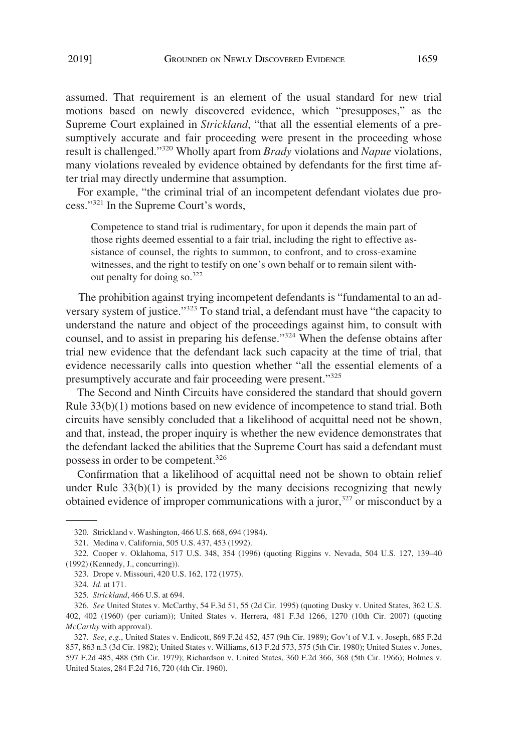assumed. That requirement is an element of the usual standard for new trial motions based on newly discovered evidence, which "presupposes," as the Supreme Court explained in *Strickland*, "that all the essential elements of a presumptively accurate and fair proceeding were present in the proceeding whose result is challenged."320 Wholly apart from *Brady* violations and *Napue* violations, many violations revealed by evidence obtained by defendants for the first time after trial may directly undermine that assumption.

For example, "the criminal trial of an incompetent defendant violates due process."321 In the Supreme Court's words,

Competence to stand trial is rudimentary, for upon it depends the main part of those rights deemed essential to a fair trial, including the right to effective assistance of counsel, the rights to summon, to confront, and to cross-examine witnesses, and the right to testify on one's own behalf or to remain silent without penalty for doing so.<sup>322</sup>

The prohibition against trying incompetent defendants is "fundamental to an adversary system of justice."<sup>323</sup> To stand trial, a defendant must have "the capacity to understand the nature and object of the proceedings against him, to consult with counsel, and to assist in preparing his defense."<sup>324</sup> When the defense obtains after trial new evidence that the defendant lack such capacity at the time of trial, that evidence necessarily calls into question whether "all the essential elements of a presumptively accurate and fair proceeding were present."<sup>325</sup>

The Second and Ninth Circuits have considered the standard that should govern Rule 33(b)(1) motions based on new evidence of incompetence to stand trial. Both circuits have sensibly concluded that a likelihood of acquittal need not be shown, and that, instead, the proper inquiry is whether the new evidence demonstrates that the defendant lacked the abilities that the Supreme Court has said a defendant must possess in order to be competent.<sup>326</sup>

Confirmation that a likelihood of acquittal need not be shown to obtain relief under Rule  $33(b)(1)$  is provided by the many decisions recognizing that newly obtained evidence of improper communications with a juror, $327$  or misconduct by a

<sup>320.</sup> Strickland v. Washington, 466 U.S. 668, 694 (1984).

<sup>321.</sup> Medina v. California, 505 U.S. 437, 453 (1992).

<sup>322.</sup> Cooper v. Oklahoma, 517 U.S. 348, 354 (1996) (quoting Riggins v. Nevada, 504 U.S. 127, 139–40 (1992) (Kennedy, J., concurring)).

<sup>323.</sup> Drope v. Missouri, 420 U.S. 162, 172 (1975).

<sup>324.</sup> *Id.* at 171.

<sup>325.</sup> *Strickland*, 466 U.S. at 694.

<sup>326.</sup> *See* United States v. McCarthy, 54 F.3d 51, 55 (2d Cir. 1995) (quoting Dusky v. United States, 362 U.S. 402, 402 (1960) (per curiam)); United States v. Herrera, 481 F.3d 1266, 1270 (10th Cir. 2007) (quoting *McCarthy* with approval).

<sup>327.</sup> *See, e.g.*, United States v. Endicott, 869 F.2d 452, 457 (9th Cir. 1989); Gov't of V.I. v. Joseph, 685 F.2d 857, 863 n.3 (3d Cir. 1982); United States v. Williams, 613 F.2d 573, 575 (5th Cir. 1980); United States v. Jones, 597 F.2d 485, 488 (5th Cir. 1979); Richardson v. United States, 360 F.2d 366, 368 (5th Cir. 1966); Holmes v. United States, 284 F.2d 716, 720 (4th Cir. 1960).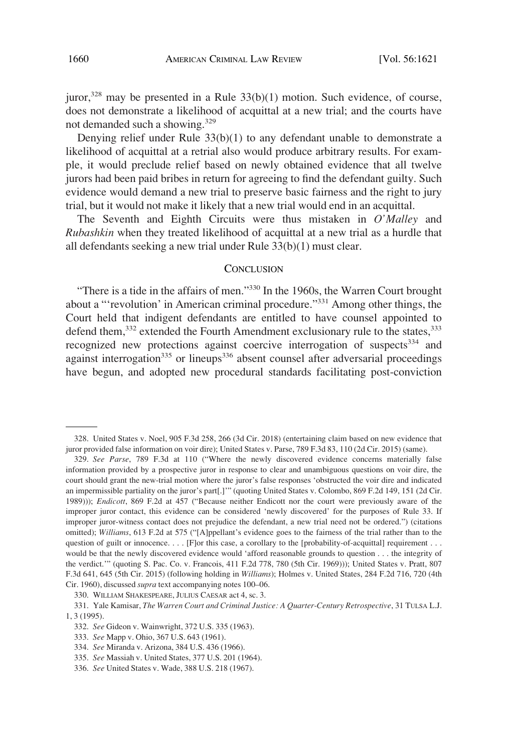juror, $328$  may be presented in a Rule  $33(b)(1)$  motion. Such evidence, of course, does not demonstrate a likelihood of acquittal at a new trial; and the courts have not demanded such a showing.<sup>329</sup>

Denying relief under Rule 33(b)(1) to any defendant unable to demonstrate a likelihood of acquittal at a retrial also would produce arbitrary results. For example, it would preclude relief based on newly obtained evidence that all twelve jurors had been paid bribes in return for agreeing to find the defendant guilty. Such evidence would demand a new trial to preserve basic fairness and the right to jury trial, but it would not make it likely that a new trial would end in an acquittal.

The Seventh and Eighth Circuits were thus mistaken in *O'Malley* and *Rubashkin* when they treated likelihood of acquittal at a new trial as a hurdle that all defendants seeking a new trial under Rule 33(b)(1) must clear.

#### **CONCLUSION**

"There is a tide in the affairs of men."330 In the 1960s, the Warren Court brought about a "'revolution' in American criminal procedure."331 Among other things, the Court held that indigent defendants are entitled to have counsel appointed to defend them, $332$  extended the Fourth Amendment exclusionary rule to the states,  $333$ recognized new protections against coercive interrogation of suspects<sup>334</sup> and against interrogation<sup>335</sup> or lineups<sup>336</sup> absent counsel after adversarial proceedings have begun, and adopted new procedural standards facilitating post-conviction

<sup>328.</sup> United States v. Noel, 905 F.3d 258, 266 (3d Cir. 2018) (entertaining claim based on new evidence that juror provided false information on voir dire); United States v. Parse, 789 F.3d 83, 110 (2d Cir. 2015) (same).

<sup>329.</sup> *See Parse*, 789 F.3d at 110 ("Where the newly discovered evidence concerns materially false information provided by a prospective juror in response to clear and unambiguous questions on voir dire, the court should grant the new-trial motion where the juror's false responses 'obstructed the voir dire and indicated an impermissible partiality on the juror's part[.]'" (quoting United States v. Colombo, 869 F.2d 149, 151 (2d Cir. 1989))); *Endicott*, 869 F.2d at 457 ("Because neither Endicott nor the court were previously aware of the improper juror contact, this evidence can be considered 'newly discovered' for the purposes of Rule 33. If improper juror-witness contact does not prejudice the defendant, a new trial need not be ordered.") (citations omitted); *Williams*, 613 F.2d at 575 ("[A]ppellant's evidence goes to the fairness of the trial rather than to the question of guilt or innocence. . . . [F]or this case, a corollary to the [probability-of-acquittal] requirement . . . would be that the newly discovered evidence would 'afford reasonable grounds to question . . . the integrity of the verdict.'" (quoting S. Pac. Co. v. Francois, 411 F.2d 778, 780 (5th Cir. 1969))); United States v. Pratt, 807 F.3d 641, 645 (5th Cir. 2015) (following holding in *Williams*); Holmes v. United States, 284 F.2d 716, 720 (4th Cir. 1960), discussed *supra* text accompanying notes 100–06.

<sup>330.</sup> WILLIAM SHAKESPEARE, JULIUS CAESAR act 4, sc. 3.

<sup>331.</sup> Yale Kamisar, *The Warren Court and Criminal Justice: A Quarter-Century Retrospective*, 31 TULSA L.J. 1, 3 (1995).

<sup>332.</sup> *See* Gideon v. Wainwright, 372 U.S. 335 (1963).

<sup>333.</sup> *See* Mapp v. Ohio, 367 U.S. 643 (1961).

<sup>334.</sup> *See* Miranda v. Arizona, 384 U.S. 436 (1966).

<sup>335.</sup> *See* Massiah v. United States, 377 U.S. 201 (1964).

<sup>336.</sup> *See* United States v. Wade, 388 U.S. 218 (1967).